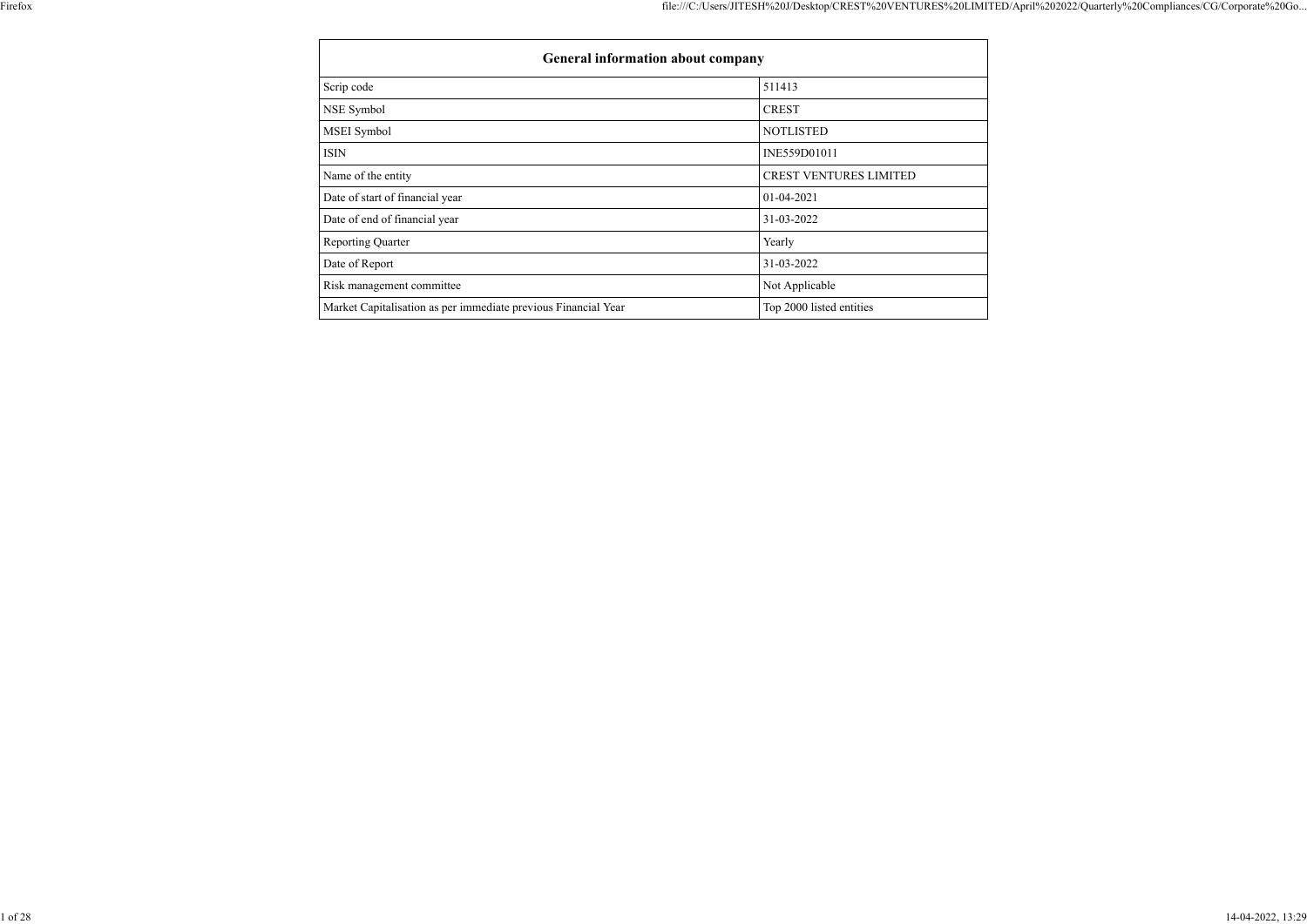| <b>General information about company</b>                       |                               |  |  |  |  |  |
|----------------------------------------------------------------|-------------------------------|--|--|--|--|--|
| Scrip code                                                     | 511413                        |  |  |  |  |  |
| NSE Symbol                                                     | <b>CREST</b>                  |  |  |  |  |  |
| MSEI Symbol                                                    | <b>NOTLISTED</b>              |  |  |  |  |  |
| <b>ISIN</b>                                                    | INE559D01011                  |  |  |  |  |  |
| Name of the entity                                             | <b>CREST VENTURES LIMITED</b> |  |  |  |  |  |
| Date of start of financial year                                | 01-04-2021                    |  |  |  |  |  |
| Date of end of financial year                                  | 31-03-2022                    |  |  |  |  |  |
| <b>Reporting Quarter</b>                                       | Yearly                        |  |  |  |  |  |
| Date of Report                                                 | 31-03-2022                    |  |  |  |  |  |
| Risk management committee                                      | Not Applicable                |  |  |  |  |  |
| Market Capitalisation as per immediate previous Financial Year | Top 2000 listed entities      |  |  |  |  |  |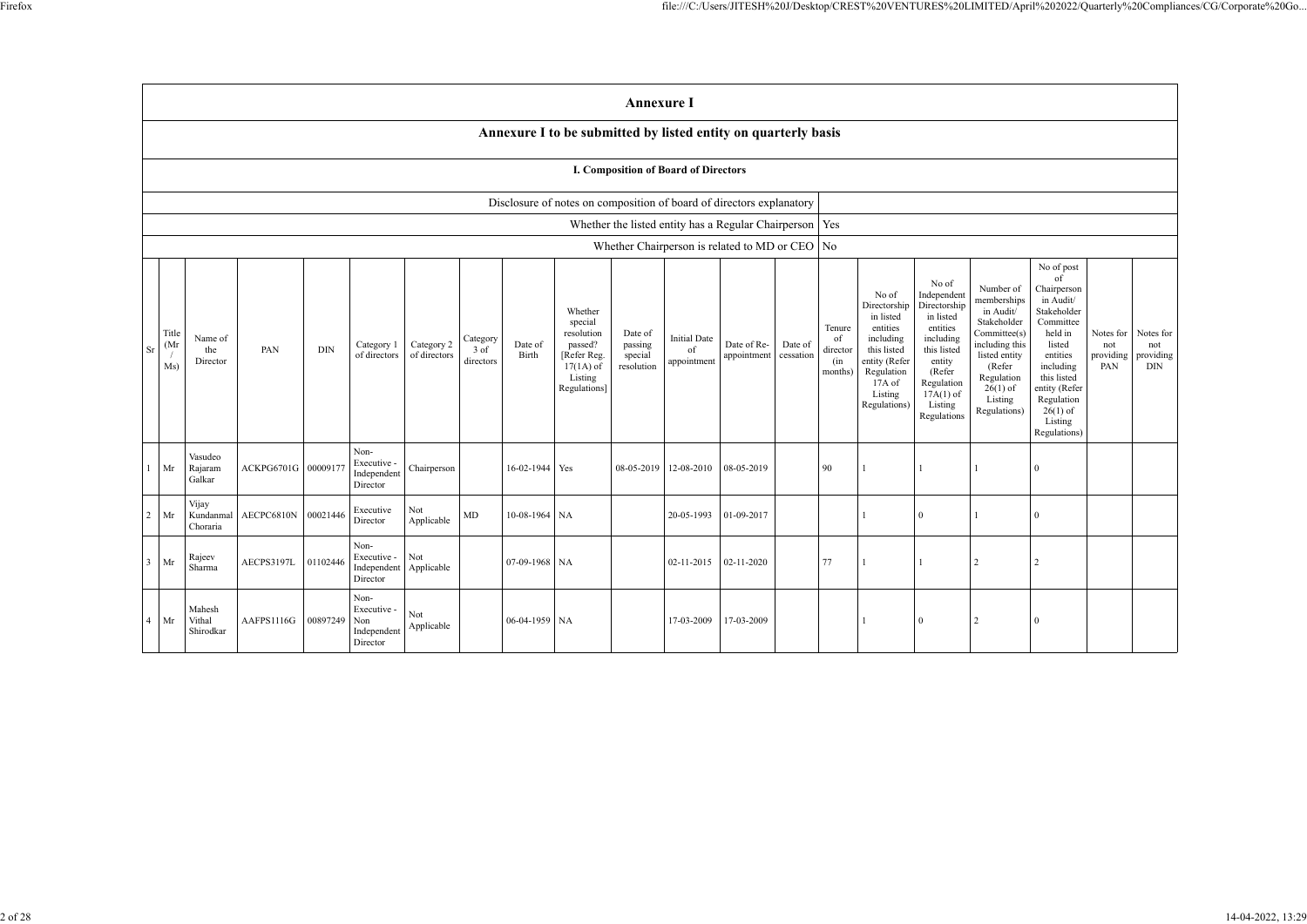|                                             | <b>Annexure I</b>                                                    |            |            |                                                       |                            |                                         |                  |                                                                                                      |                                             |                                                           |                            |                      |                                            |                                                                                                                                                |                                                                                                                                                                      |                                                                                                                                                                          |  |
|---------------------------------------------|----------------------------------------------------------------------|------------|------------|-------------------------------------------------------|----------------------------|-----------------------------------------|------------------|------------------------------------------------------------------------------------------------------|---------------------------------------------|-----------------------------------------------------------|----------------------------|----------------------|--------------------------------------------|------------------------------------------------------------------------------------------------------------------------------------------------|----------------------------------------------------------------------------------------------------------------------------------------------------------------------|--------------------------------------------------------------------------------------------------------------------------------------------------------------------------|--|
|                                             |                                                                      |            |            |                                                       |                            |                                         |                  | Annexure I to be submitted by listed entity on quarterly basis                                       |                                             |                                                           |                            |                      |                                            |                                                                                                                                                |                                                                                                                                                                      |                                                                                                                                                                          |  |
| <b>I. Composition of Board of Directors</b> |                                                                      |            |            |                                                       |                            |                                         |                  |                                                                                                      |                                             |                                                           |                            |                      |                                            |                                                                                                                                                |                                                                                                                                                                      |                                                                                                                                                                          |  |
|                                             | Disclosure of notes on composition of board of directors explanatory |            |            |                                                       |                            |                                         |                  |                                                                                                      |                                             |                                                           |                            |                      |                                            |                                                                                                                                                |                                                                                                                                                                      |                                                                                                                                                                          |  |
|                                             |                                                                      |            |            |                                                       |                            |                                         |                  |                                                                                                      |                                             | Whether the listed entity has a Regular Chairperson   Yes |                            |                      |                                            |                                                                                                                                                |                                                                                                                                                                      |                                                                                                                                                                          |  |
|                                             |                                                                      |            |            |                                                       |                            |                                         |                  |                                                                                                      |                                             | Whether Chairperson is related to MD or CEO               |                            |                      | N <sub>o</sub>                             |                                                                                                                                                |                                                                                                                                                                      |                                                                                                                                                                          |  |
| Title<br>(Mr<br><b>Sr</b><br>Ms)            | Name of<br>the<br>Director                                           | PAN        | <b>DIN</b> | Category 1<br>of directors                            | Category 2<br>of directors | Category<br>$3 \text{ of}$<br>directors | Date of<br>Birth | Whether<br>special<br>resolution<br>passed?<br>[Refer Reg.<br>$17(1A)$ of<br>Listing<br>Regulations] | Date of<br>passing<br>special<br>resolution | <b>Initial Date</b><br>of<br>appointment                  | Date of Re-<br>appointment | Date of<br>cessation | Tenure<br>of<br>director<br>(in<br>months) | No of<br>Directorship<br>in listed<br>entities<br>including<br>this listed<br>entity (Refer<br>Regulation<br>17A of<br>Listing<br>Regulations) | No of<br>Independent<br>Directorship<br>in listed<br>entities<br>including<br>this listed<br>entity<br>(Refer<br>Regulation<br>$17A(1)$ of<br>Listing<br>Regulations | Number of<br>memberships<br>in Audit/<br>Stakeholder<br>Committee(s)<br>including this<br>listed entity<br>(Refer<br>Regulation<br>$26(1)$ of<br>Listing<br>Regulations) |  |
| Mr<br>-1                                    | Vasudeo<br>Rajaram<br>Galkar                                         | ACKPG6701G | 00009177   | Non-<br>Executive -<br>Independent<br>Director        | Chairperson                |                                         | 16-02-1944 Yes   |                                                                                                      | 08-05-2019                                  | 12-08-2010                                                | 08-05-2019                 |                      | 90                                         |                                                                                                                                                | $\mathbf{1}$                                                                                                                                                         | 1                                                                                                                                                                        |  |
| Mr<br>2                                     | Vijay<br>Kundanmal<br>Choraria                                       | AECPC6810N | 00021446   | Executive<br>Director                                 | Not<br>Applicable          | $\mbox{MD}$                             | 10-08-1964 NA    |                                                                                                      |                                             | 20-05-1993                                                | 01-09-2017                 |                      |                                            |                                                                                                                                                | $\boldsymbol{0}$                                                                                                                                                     | $\mathbf{1}$                                                                                                                                                             |  |
| Mr<br>3                                     | Rajeev<br>Sharma                                                     | AECPS3197L | 01102446   | Non-<br>Executive -<br>Independent<br>Director        | Not<br>Applicable          |                                         | 07-09-1968 NA    |                                                                                                      |                                             | 02-11-2015                                                | 02-11-2020                 |                      | $77\,$                                     |                                                                                                                                                | $\mathbf{1}$                                                                                                                                                         | $\sqrt{2}$                                                                                                                                                               |  |
| Mr<br>4                                     | Mahesh<br>Vithal<br>Shirodkar                                        | AAFPS1116G | 00897249   | Non-<br>Executive -<br>Non<br>Independent<br>Director | Not<br>Applicable          |                                         | 06-04-1959       | NA                                                                                                   |                                             | 17-03-2009                                                | 17-03-2009                 |                      |                                            |                                                                                                                                                | $\overline{0}$                                                                                                                                                       | $\overline{2}$                                                                                                                                                           |  |

| Number of<br>memberships<br>in Audit/<br>Stakeholder<br>Committee(s)<br>including this<br>listed entity<br>(Refer<br>Regulation<br>$26(1)$ of<br>Listing<br>Regulations) | No of post<br>of<br>Chairperson<br>in Audit/<br>Stakeholder<br>Committee<br>held in<br>listed<br>entities<br>including<br>this listed<br>entity (Refer<br>Regulation<br>$26(1)$ of<br>Listing<br>Regulations) | Notes for<br>not<br>providing<br>PAN | Notes for<br>not<br>providing<br><b>DIN</b> |
|--------------------------------------------------------------------------------------------------------------------------------------------------------------------------|---------------------------------------------------------------------------------------------------------------------------------------------------------------------------------------------------------------|--------------------------------------|---------------------------------------------|
| 1                                                                                                                                                                        | $\boldsymbol{0}$                                                                                                                                                                                              |                                      |                                             |
| 1                                                                                                                                                                        | $\overline{0}$                                                                                                                                                                                                |                                      |                                             |
| $\overline{c}$                                                                                                                                                           | $\overline{c}$                                                                                                                                                                                                |                                      |                                             |
| 2                                                                                                                                                                        | $\boldsymbol{0}$                                                                                                                                                                                              |                                      |                                             |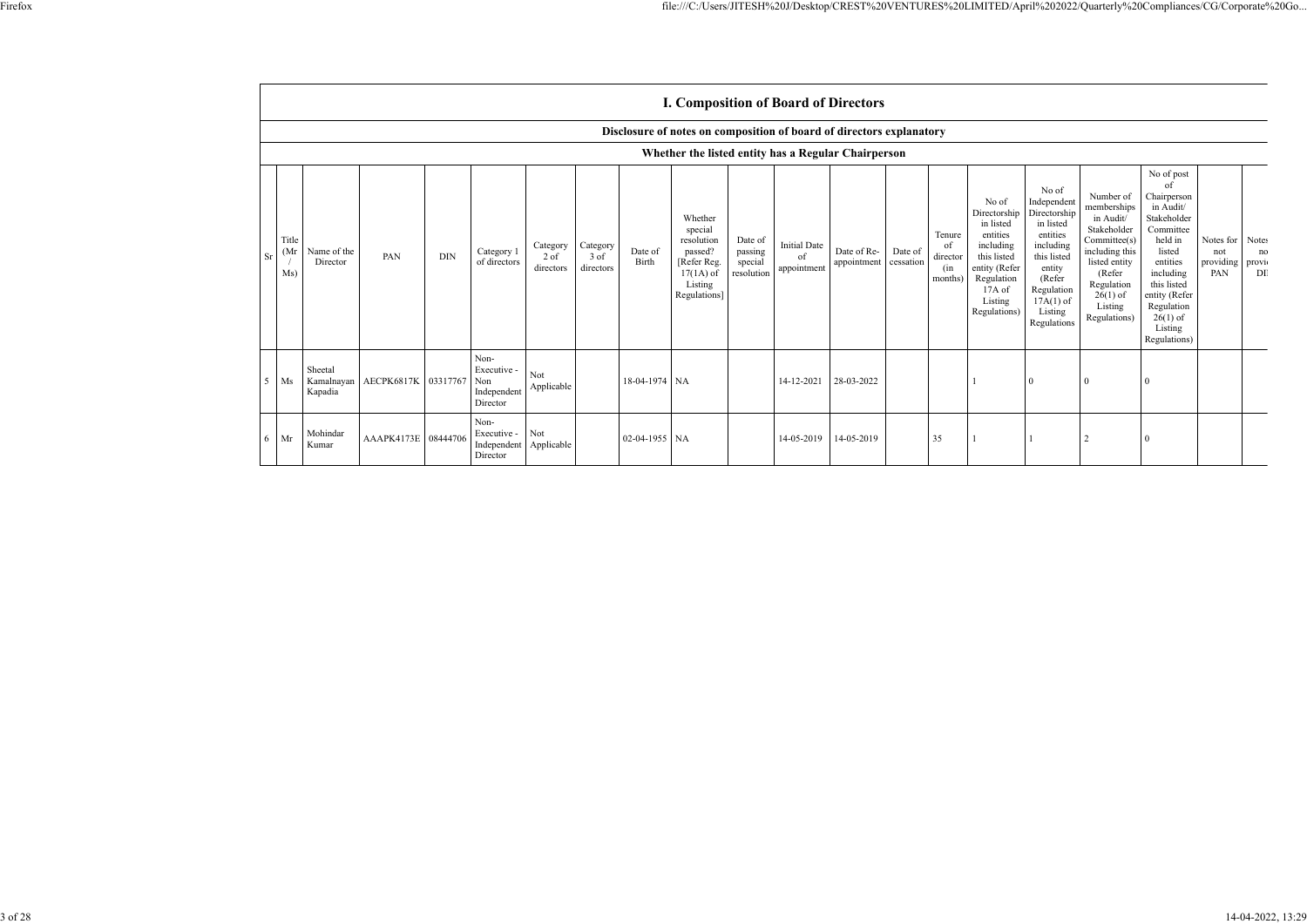|                |                                                     |                                                                      |                       |            |                                                       |                               |                               |                  | <b>I. Composition of Board of Directors</b>                                                          |                                             |                                          |                            |                      |                                            |                                                                                                                                                  |                                                                                                                                                                      |                                                                                                                                                                          |                                                                                                                                                                                                               |                                            |                   |
|----------------|-----------------------------------------------------|----------------------------------------------------------------------|-----------------------|------------|-------------------------------------------------------|-------------------------------|-------------------------------|------------------|------------------------------------------------------------------------------------------------------|---------------------------------------------|------------------------------------------|----------------------------|----------------------|--------------------------------------------|--------------------------------------------------------------------------------------------------------------------------------------------------|----------------------------------------------------------------------------------------------------------------------------------------------------------------------|--------------------------------------------------------------------------------------------------------------------------------------------------------------------------|---------------------------------------------------------------------------------------------------------------------------------------------------------------------------------------------------------------|--------------------------------------------|-------------------|
|                |                                                     | Disclosure of notes on composition of board of directors explanatory |                       |            |                                                       |                               |                               |                  |                                                                                                      |                                             |                                          |                            |                      |                                            |                                                                                                                                                  |                                                                                                                                                                      |                                                                                                                                                                          |                                                                                                                                                                                                               |                                            |                   |
|                | Whether the listed entity has a Regular Chairperson |                                                                      |                       |            |                                                       |                               |                               |                  |                                                                                                      |                                             |                                          |                            |                      |                                            |                                                                                                                                                  |                                                                                                                                                                      |                                                                                                                                                                          |                                                                                                                                                                                                               |                                            |                   |
| Sr             | Title<br>(Mr)<br>Ms)                                | Name of the<br>Director                                              | PAN                   | <b>DIN</b> | Category 1<br>of directors                            | Category<br>2 of<br>directors | Category<br>3 of<br>directors | Date of<br>Birth | Whether<br>special<br>resolution<br>passed?<br>[Refer Reg.<br>$17(1A)$ of<br>Listing<br>Regulations] | Date of<br>passing<br>special<br>resolution | <b>Initial Date</b><br>of<br>appointment | Date of Re-<br>appointment | Date of<br>cessation | Tenure<br>of<br>director<br>(in<br>months) | No of<br>Directorship<br>in listed<br>entities<br>including<br>this listed<br>entity (Refer<br>Regulation<br>$17A$ of<br>Listing<br>Regulations) | No of<br>Independent<br>Directorship<br>in listed<br>entities<br>including<br>this listed<br>entity<br>(Refer<br>Regulation<br>$17A(1)$ of<br>Listing<br>Regulations | Number of<br>memberships<br>in Audit/<br>Stakeholder<br>Committee(s)<br>including this<br>listed entity<br>(Refer<br>Regulation<br>$26(1)$ of<br>Listing<br>Regulations) | No of post<br>of<br>Chairperson<br>in Audit/<br>Stakeholder<br>Committee<br>held in<br>listed<br>entities<br>including<br>this listed<br>entity (Refer<br>Regulation<br>$26(1)$ of<br>Listing<br>Regulations) | Notes for Notes<br>not<br>providing<br>PAN | no<br>provi<br>DI |
| 5 <sup>5</sup> | Ms                                                  | Sheetal<br>Kamalnayan<br>Kapadia                                     | AECPK6817K   03317767 |            | Non-<br>Executive -<br>Non<br>Independent<br>Director | <b>Not</b><br>Applicable      |                               | 18-04-1974 NA    |                                                                                                      |                                             | 14-12-2021                               | 28-03-2022                 |                      |                                            |                                                                                                                                                  | $\Omega$                                                                                                                                                             |                                                                                                                                                                          |                                                                                                                                                                                                               |                                            |                   |
| 6              | Mr                                                  | Mohindar<br>Kumar                                                    | AAAPK4173E 08444706   |            | Non-<br>Executive -<br>Independent<br>Director        | Not<br>Applicable             |                               | 02-04-1955 NA    |                                                                                                      |                                             | 14-05-2019                               | 14-05-2019                 |                      | 35                                         |                                                                                                                                                  |                                                                                                                                                                      |                                                                                                                                                                          |                                                                                                                                                                                                               |                                            |                   |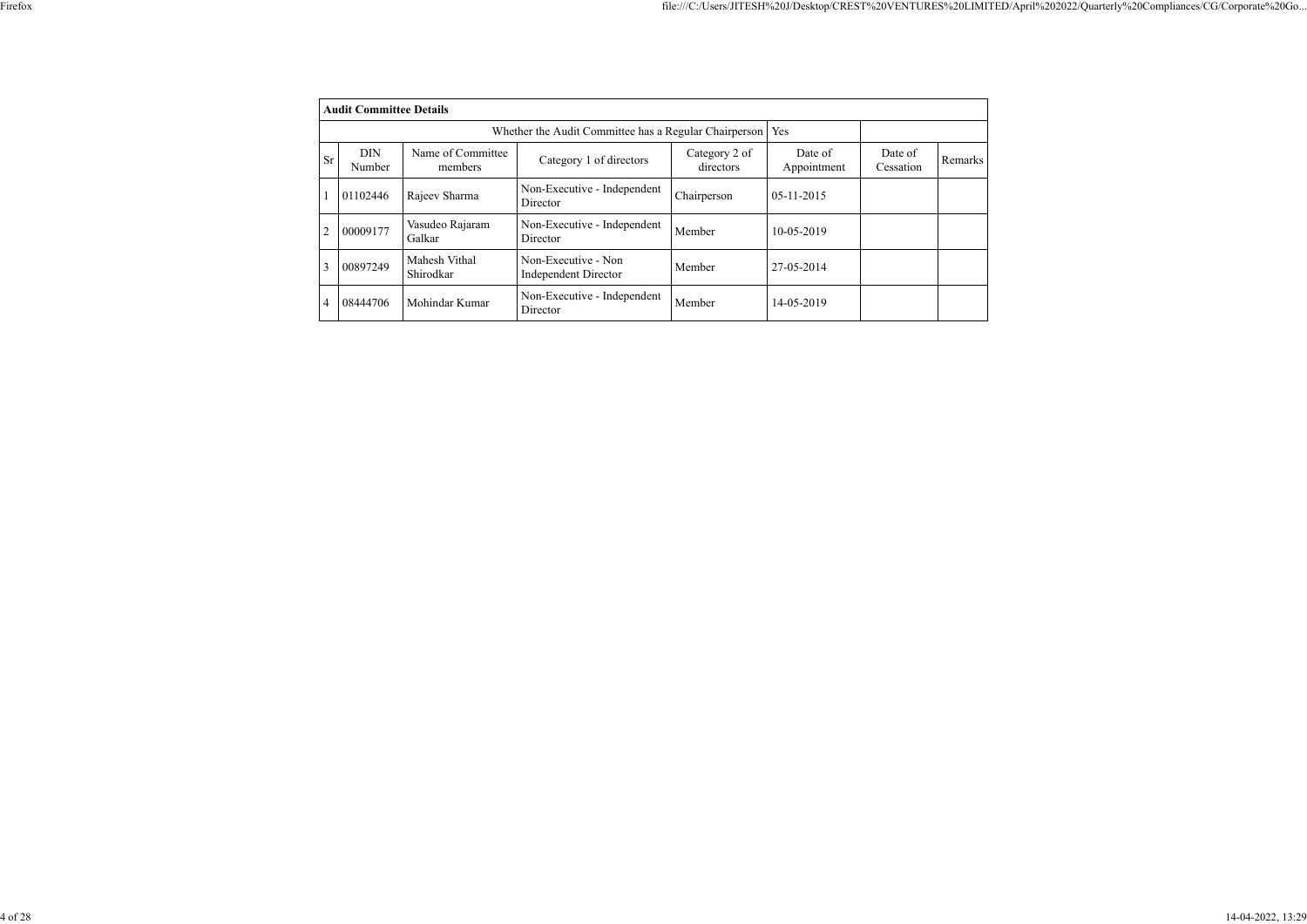|--|--|

|           | <b>Audit Committee Details</b> |                              |                                                    |                            |                        |                      |                |  |  |
|-----------|--------------------------------|------------------------------|----------------------------------------------------|----------------------------|------------------------|----------------------|----------------|--|--|
|           |                                |                              |                                                    |                            |                        |                      |                |  |  |
| <b>Sr</b> | <b>DIN</b><br>Number           | Name of Committee<br>members | Category 1 of directors                            | Category 2 of<br>directors | Date of<br>Appointment | Date of<br>Cessation | <b>Remarks</b> |  |  |
|           | 01102446                       | Rajeev Sharma                | Non-Executive - Independent<br>Director            | Chairperson                | $05 - 11 - 2015$       |                      |                |  |  |
| 2         | 00009177                       | Vasudeo Rajaram<br>Galkar    | Non-Executive - Independent<br>Director            | Member                     | 10-05-2019             |                      |                |  |  |
| 3         | 00897249                       | Mahesh Vithal<br>Shirodkar   | Non-Executive - Non<br><b>Independent Director</b> | Member                     | 27-05-2014             |                      |                |  |  |
| 4         | 08444706                       | Mohindar Kumar               | Non-Executive - Independent<br>Director            | Member                     | 14-05-2019             |                      |                |  |  |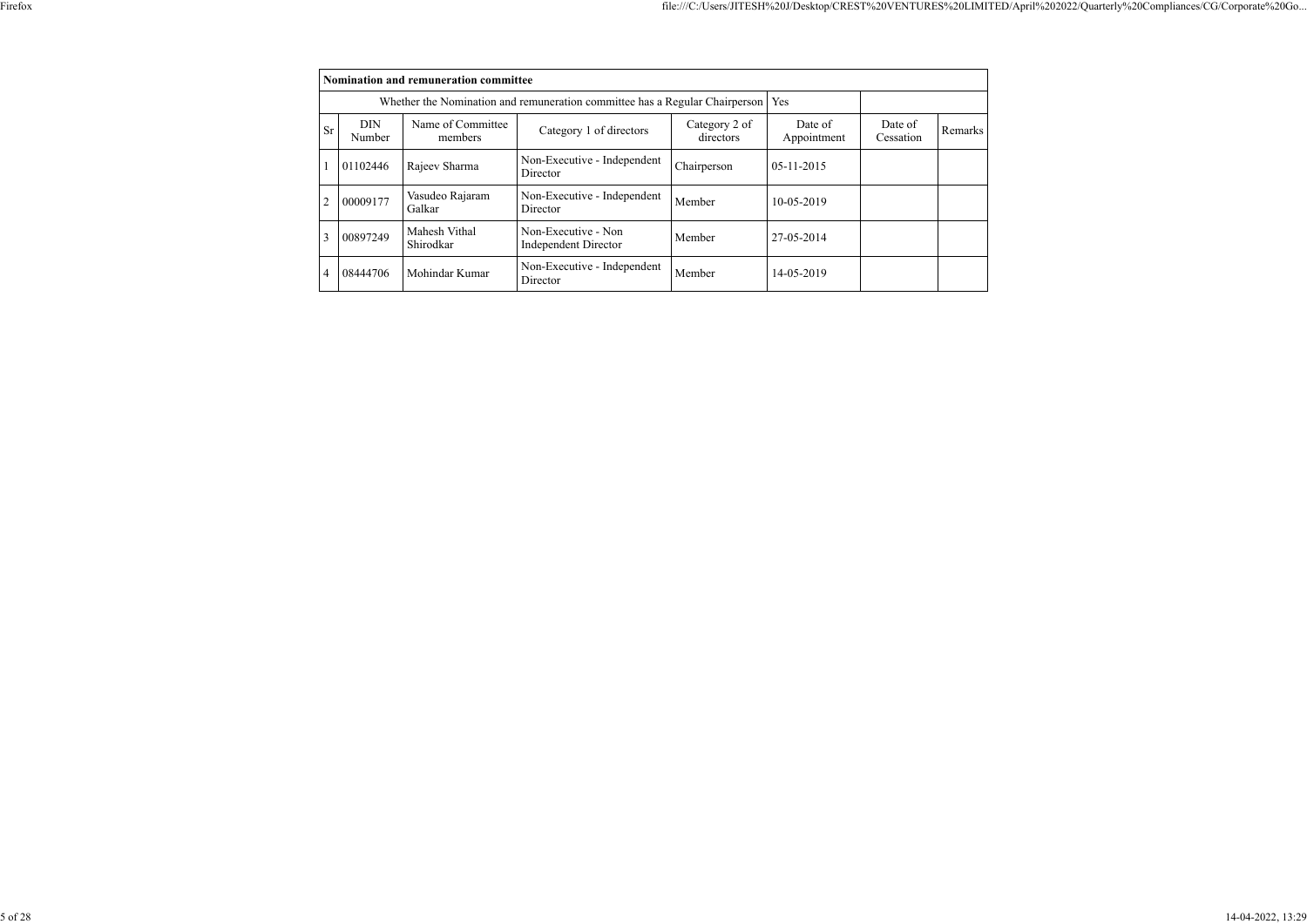|    | Nomination and remuneration committee |                              |                                                                                   |                            |                        |                      |         |  |  |
|----|---------------------------------------|------------------------------|-----------------------------------------------------------------------------------|----------------------------|------------------------|----------------------|---------|--|--|
|    |                                       |                              | Whether the Nomination and remuneration committee has a Regular Chairperson   Yes |                            |                        |                      |         |  |  |
| Sr | <b>DIN</b><br>Number                  | Name of Committee<br>members | Category 1 of directors                                                           | Category 2 of<br>directors | Date of<br>Appointment | Date of<br>Cessation | Remarks |  |  |
|    | 01102446                              | Rajeev Sharma                | Non-Executive - Independent<br>Director                                           | Chairperson                | $05 - 11 - 2015$       |                      |         |  |  |
|    | 00009177                              | Vasudeo Rajaram<br>Galkar    | Non-Executive - Independent<br>Director                                           | Member                     | 10-05-2019             |                      |         |  |  |
| 3  | 00897249                              | Mahesh Vithal<br>Shirodkar   | Non-Executive - Non<br><b>Independent Director</b>                                | Member                     | 27-05-2014             |                      |         |  |  |
| 4  | 08444706                              | Mohindar Kumar               | Non-Executive - Independent<br>Director                                           | Member                     | 14-05-2019             |                      |         |  |  |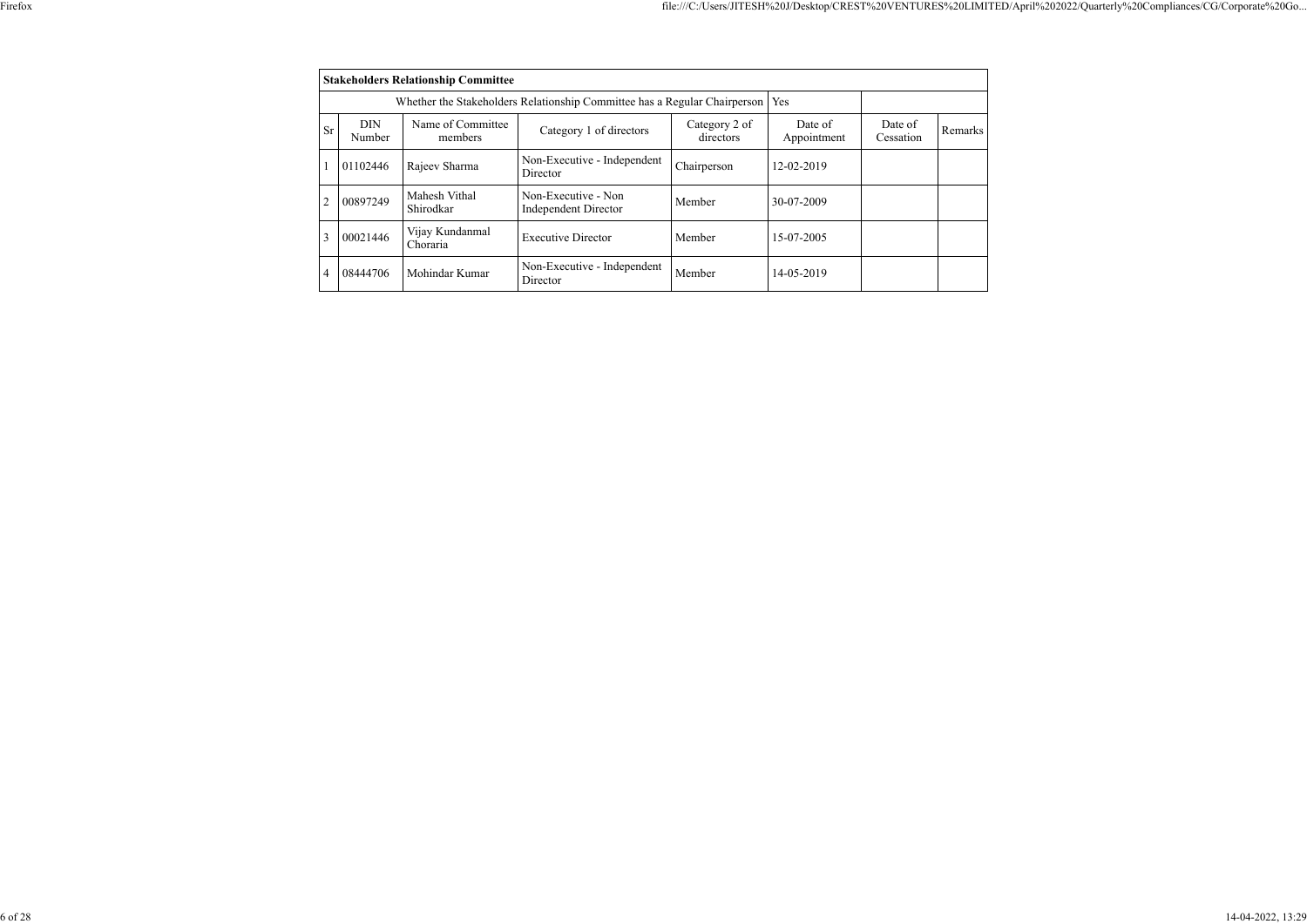|    | <b>Stakeholders Relationship Committee</b> |                              |                                                                                 |                            |                        |                      |         |  |  |  |
|----|--------------------------------------------|------------------------------|---------------------------------------------------------------------------------|----------------------------|------------------------|----------------------|---------|--|--|--|
|    |                                            |                              | Whether the Stakeholders Relationship Committee has a Regular Chairperson   Yes |                            |                        |                      |         |  |  |  |
| Sr | <b>DIN</b><br>Number                       | Name of Committee<br>members | Category 1 of directors                                                         | Category 2 of<br>directors | Date of<br>Appointment | Date of<br>Cessation | Remarks |  |  |  |
|    | 01102446                                   | Rajeev Sharma                | Non-Executive - Independent<br>Director                                         | Chairperson                | 12-02-2019             |                      |         |  |  |  |
|    | 00897249                                   | Mahesh Vithal<br>Shirodkar   | Non-Executive - Non<br><b>Independent Director</b>                              | Member                     | 30-07-2009             |                      |         |  |  |  |
|    | 00021446                                   | Vijay Kundanmal<br>Choraria  | <b>Executive Director</b>                                                       | Member                     | 15-07-2005             |                      |         |  |  |  |
| 4  | 08444706                                   | Mohindar Kumar               | Non-Executive - Independent<br>Director                                         | Member                     | 14-05-2019             |                      |         |  |  |  |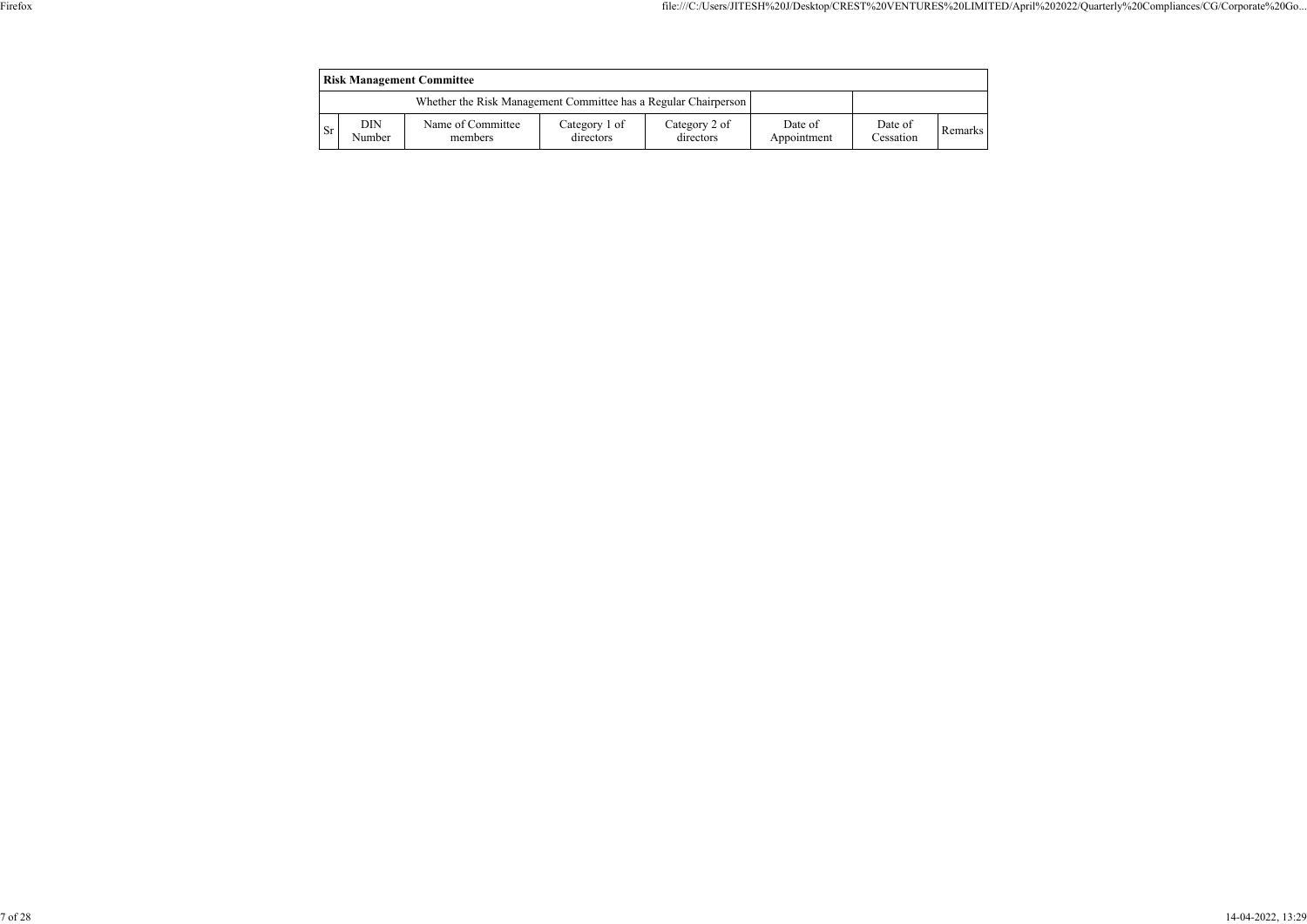| <b>Risk Management Committee</b>                                |               |                              |                            |                            |                        |                      |         |  |  |
|-----------------------------------------------------------------|---------------|------------------------------|----------------------------|----------------------------|------------------------|----------------------|---------|--|--|
| Whether the Risk Management Committee has a Regular Chairperson |               |                              |                            |                            |                        |                      |         |  |  |
| <b>Sr</b>                                                       | DIN<br>Number | Name of Committee<br>members | Category 1 of<br>directors | Category 2 of<br>directors | Date of<br>Appointment | Date of<br>Cessation | Remarks |  |  |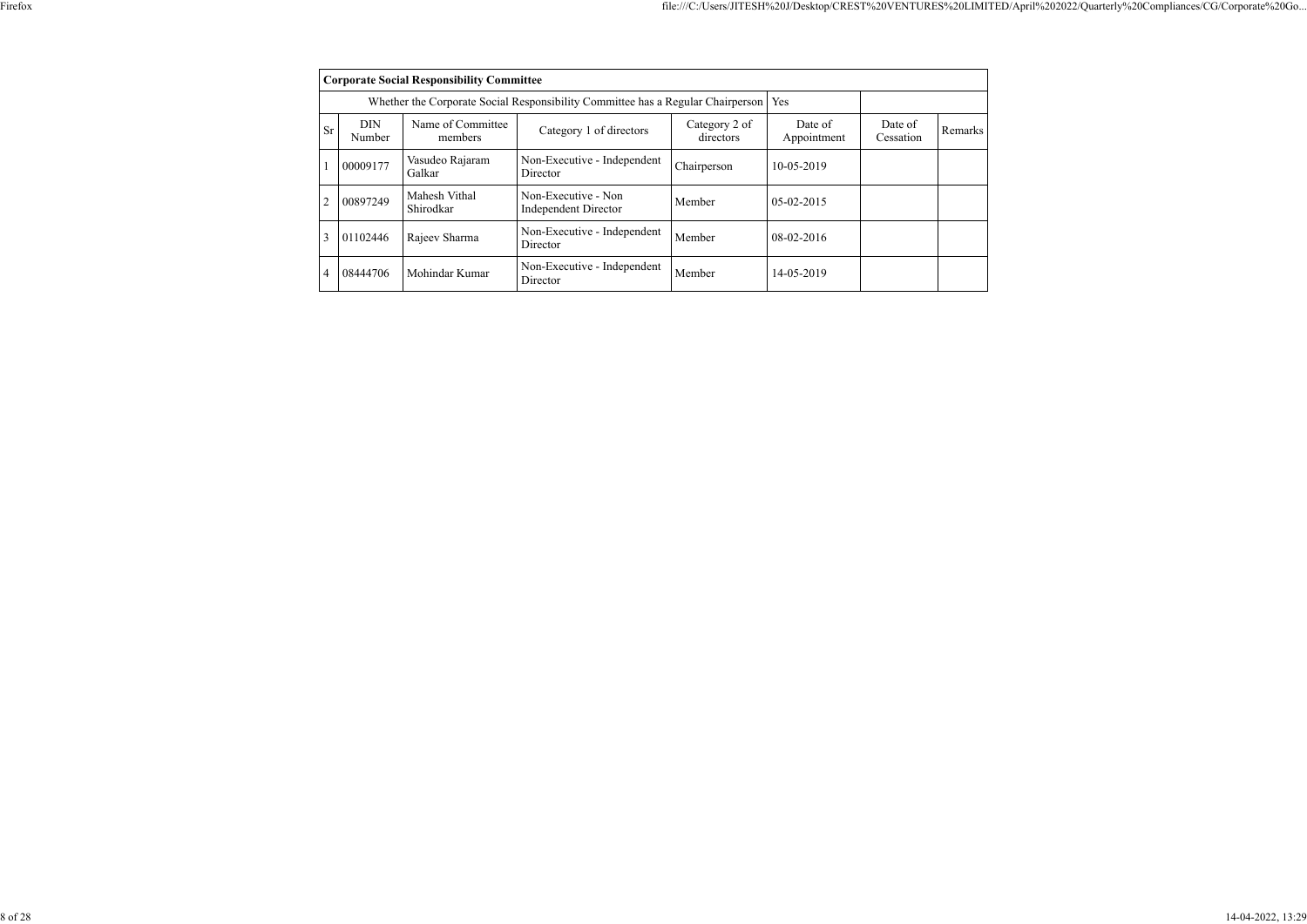|                | <b>Corporate Social Responsibility Committee</b> |                              |                                                                                 |                            |                        |                      |         |
|----------------|--------------------------------------------------|------------------------------|---------------------------------------------------------------------------------|----------------------------|------------------------|----------------------|---------|
|                |                                                  |                              | Whether the Corporate Social Responsibility Committee has a Regular Chairperson |                            | Yes                    |                      |         |
| <b>Sr</b>      | <b>DIN</b><br>Number                             | Name of Committee<br>members | Category 1 of directors                                                         | Category 2 of<br>directors | Date of<br>Appointment | Date of<br>Cessation | Remarks |
|                | 00009177                                         | Vasudeo Rajaram<br>Galkar    | Non-Executive - Independent<br>Director                                         | Chairperson                | 10-05-2019             |                      |         |
| $\overline{2}$ | 00897249                                         | Mahesh Vithal<br>Shirodkar   | Non-Executive - Non<br><b>Independent Director</b>                              | Member                     | 05-02-2015             |                      |         |
| 3              | 01102446                                         | Rajeev Sharma                | Non-Executive - Independent<br>Director                                         | Member                     | 08-02-2016             |                      |         |
| $\overline{4}$ | 08444706                                         | Mohindar Kumar               | Non-Executive - Independent<br>Director                                         | Member                     | 14-05-2019             |                      |         |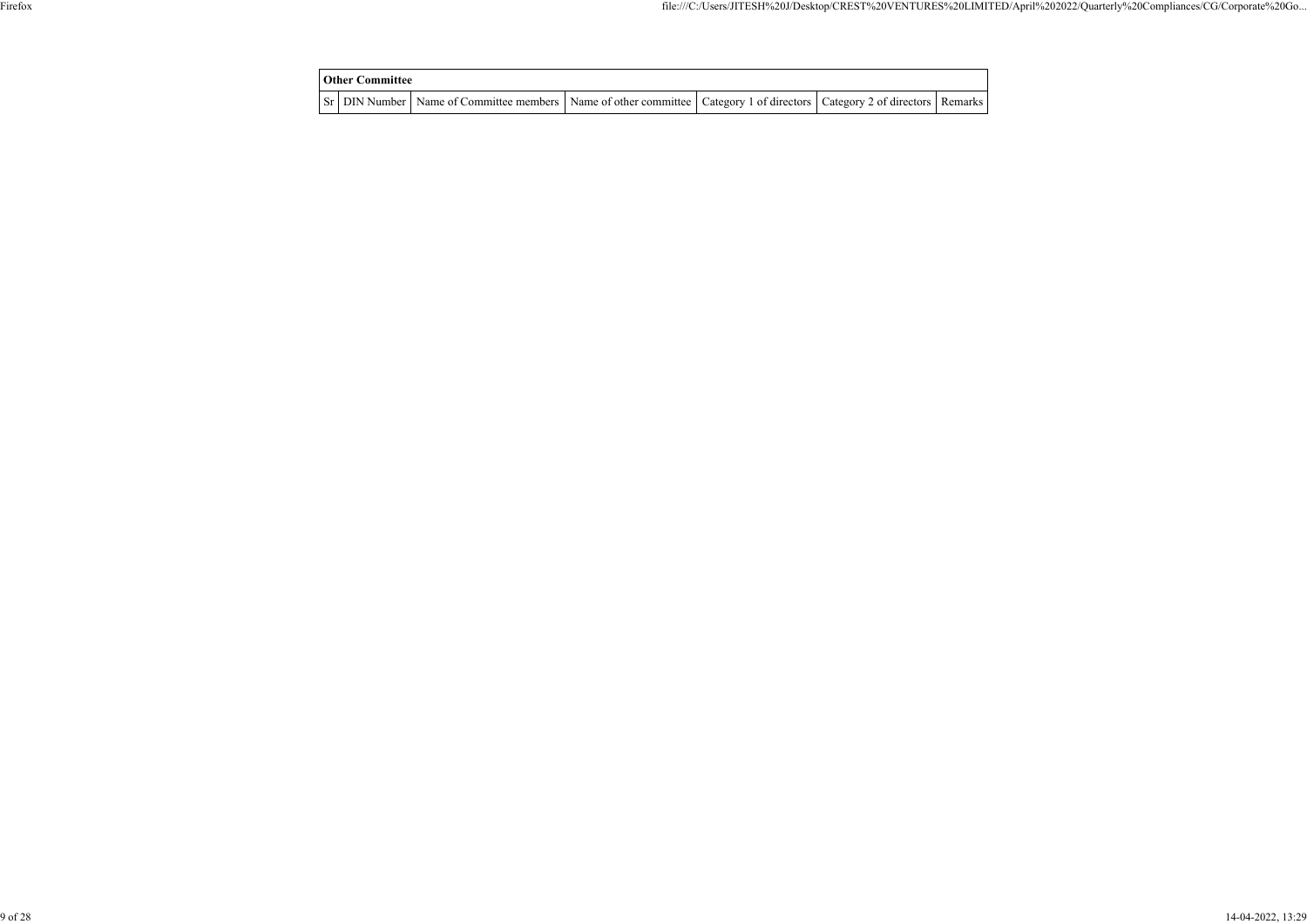| Other Committee |                                                                                                                                     |  |  |
|-----------------|-------------------------------------------------------------------------------------------------------------------------------------|--|--|
|                 | Sr   DIN Number   Name of Committee members   Name of other committee   Category 1 of directors   Category 2 of directors   Remarks |  |  |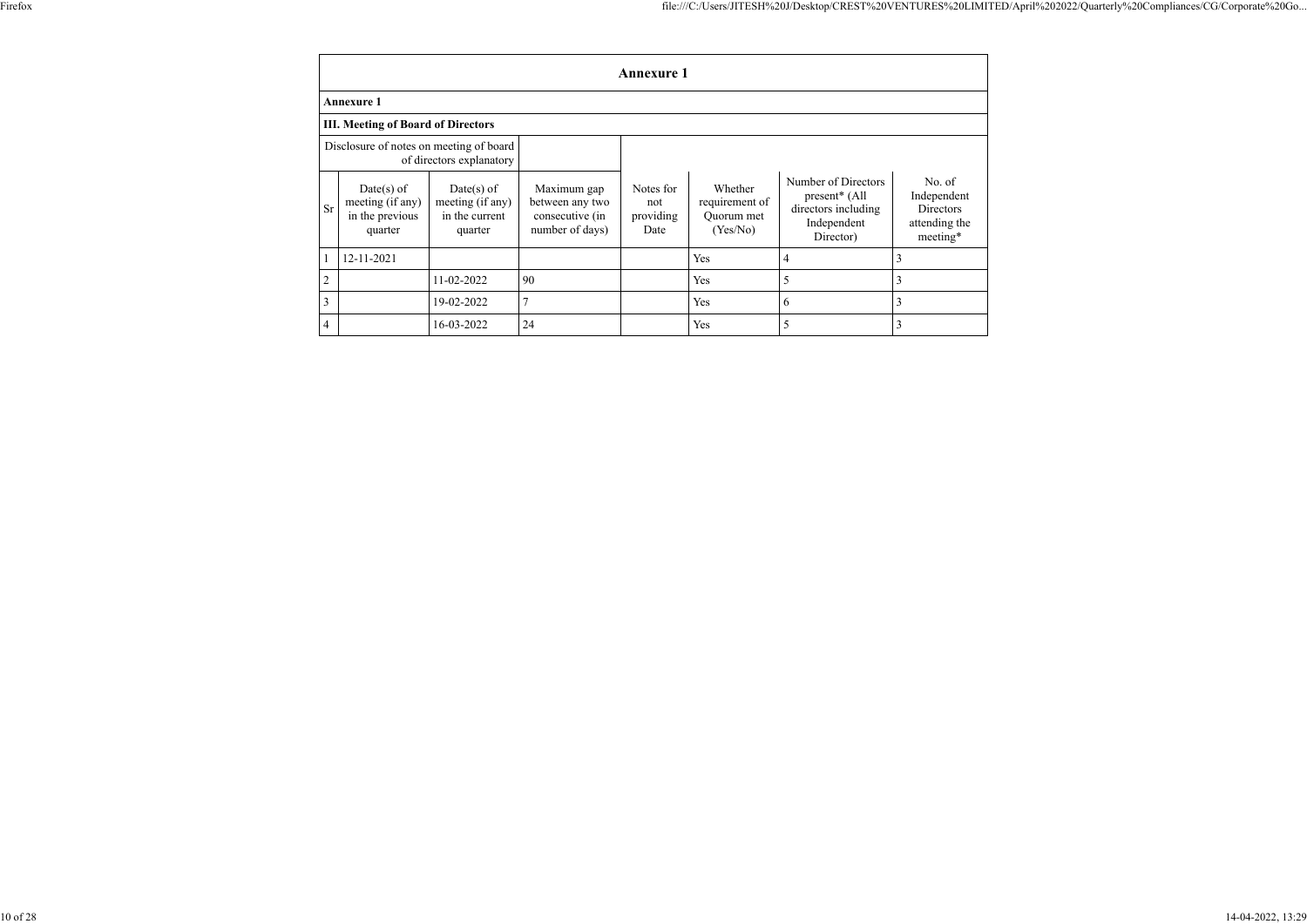|                | <b>Annexure 1</b>                                              |                                                               |                                                                      |                                       |                                                     |                                                                                                     |                                                                        |
|----------------|----------------------------------------------------------------|---------------------------------------------------------------|----------------------------------------------------------------------|---------------------------------------|-----------------------------------------------------|-----------------------------------------------------------------------------------------------------|------------------------------------------------------------------------|
|                | Annexure 1                                                     |                                                               |                                                                      |                                       |                                                     |                                                                                                     |                                                                        |
|                | <b>III. Meeting of Board of Directors</b>                      |                                                               |                                                                      |                                       |                                                     |                                                                                                     |                                                                        |
|                | Disclosure of notes on meeting of board                        | of directors explanatory                                      |                                                                      |                                       |                                                     |                                                                                                     |                                                                        |
| <b>Sr</b>      | $Date(s)$ of<br>meeting (if any)<br>in the previous<br>quarter | $Date(s)$ of<br>meeting (if any)<br>in the current<br>quarter | Maximum gap<br>between any two<br>consecutive (in<br>number of days) | Notes for<br>not<br>providing<br>Date | Whether<br>requirement of<br>Quorum met<br>(Yes/No) | Number of Directors<br>present <sup>*</sup> (All<br>directors including<br>Independent<br>Director) | No. of<br>Independent<br><b>Directors</b><br>attending the<br>meeting* |
|                | 12-11-2021                                                     |                                                               |                                                                      |                                       | Yes                                                 | 4                                                                                                   | 3                                                                      |
| $\mathfrak{2}$ |                                                                | 11-02-2022                                                    | 90                                                                   |                                       | Yes                                                 | 5                                                                                                   | 3                                                                      |
| $\overline{3}$ |                                                                | 19-02-2022                                                    |                                                                      |                                       | Yes                                                 | 6                                                                                                   | 3                                                                      |
| $\overline{4}$ |                                                                | 16-03-2022                                                    | 24                                                                   |                                       | Yes                                                 | 5                                                                                                   | 3                                                                      |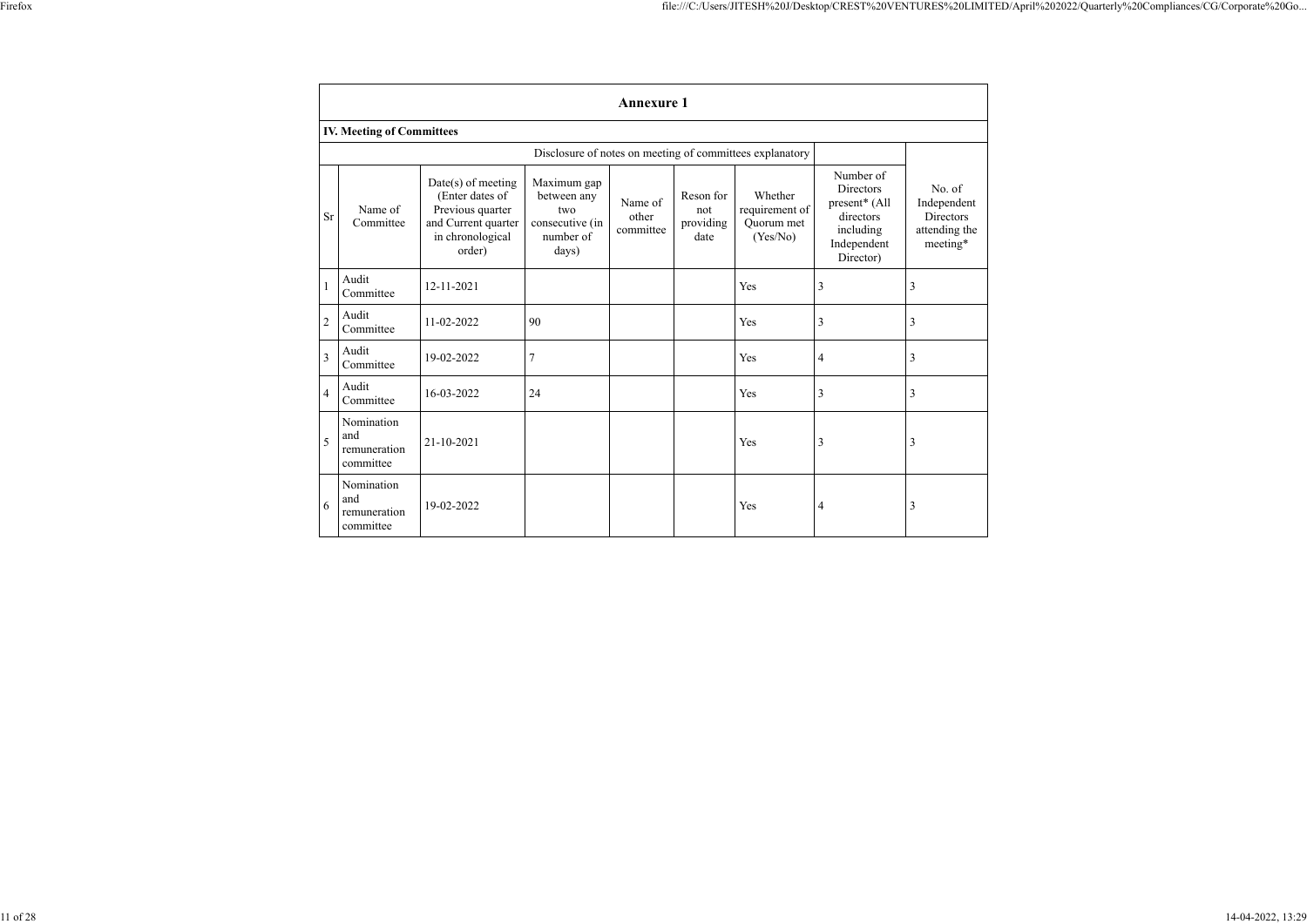|                                  | <b>Annexure</b> 1 |
|----------------------------------|-------------------|
| <b>IV. Meeting of Committees</b> |                   |

|                |                                                |                                                                                                                  | Disclosure of notes on meeting of committees explanatory                   |                               |                                       |                                                     |                                                                                                      |                                                                 |
|----------------|------------------------------------------------|------------------------------------------------------------------------------------------------------------------|----------------------------------------------------------------------------|-------------------------------|---------------------------------------|-----------------------------------------------------|------------------------------------------------------------------------------------------------------|-----------------------------------------------------------------|
| <b>Sr</b>      | Name of<br>Committee                           | $Date(s)$ of meeting<br>(Enter dates of<br>Previous quarter<br>and Current quarter<br>in chronological<br>order) | Maximum gap<br>between any<br>two<br>consecutive (in<br>number of<br>days) | Name of<br>other<br>committee | Reson for<br>not<br>providing<br>date | Whether<br>requirement of<br>Quorum met<br>(Yes/No) | Number of<br><b>Directors</b><br>present* (All<br>directors<br>including<br>Independent<br>Director) | No. of<br>Independent<br>Directors<br>attending the<br>meeting* |
|                | Audit<br>Committee                             | 12-11-2021                                                                                                       |                                                                            |                               |                                       | Yes                                                 | 3                                                                                                    | 3                                                               |
| $\overline{2}$ | Audit<br>Committee                             | 11-02-2022                                                                                                       | 90                                                                         |                               |                                       | Yes                                                 | $\mathfrak{Z}$                                                                                       | 3                                                               |
| $\overline{3}$ | Audit<br>Committee                             | 19-02-2022                                                                                                       | $\overline{7}$                                                             |                               |                                       | Yes                                                 | 4                                                                                                    | 3                                                               |
| $\overline{4}$ | Audit<br>Committee                             | 16-03-2022                                                                                                       | 24                                                                         |                               |                                       | Yes                                                 | 3                                                                                                    | 3                                                               |
| 5              | Nomination<br>and<br>remuneration<br>committee | 21-10-2021                                                                                                       |                                                                            |                               |                                       | Yes                                                 | 3                                                                                                    | 3                                                               |
| 6              | Nomination<br>and<br>remuneration<br>committee | 19-02-2022                                                                                                       |                                                                            |                               |                                       | Yes                                                 | 4                                                                                                    | 3                                                               |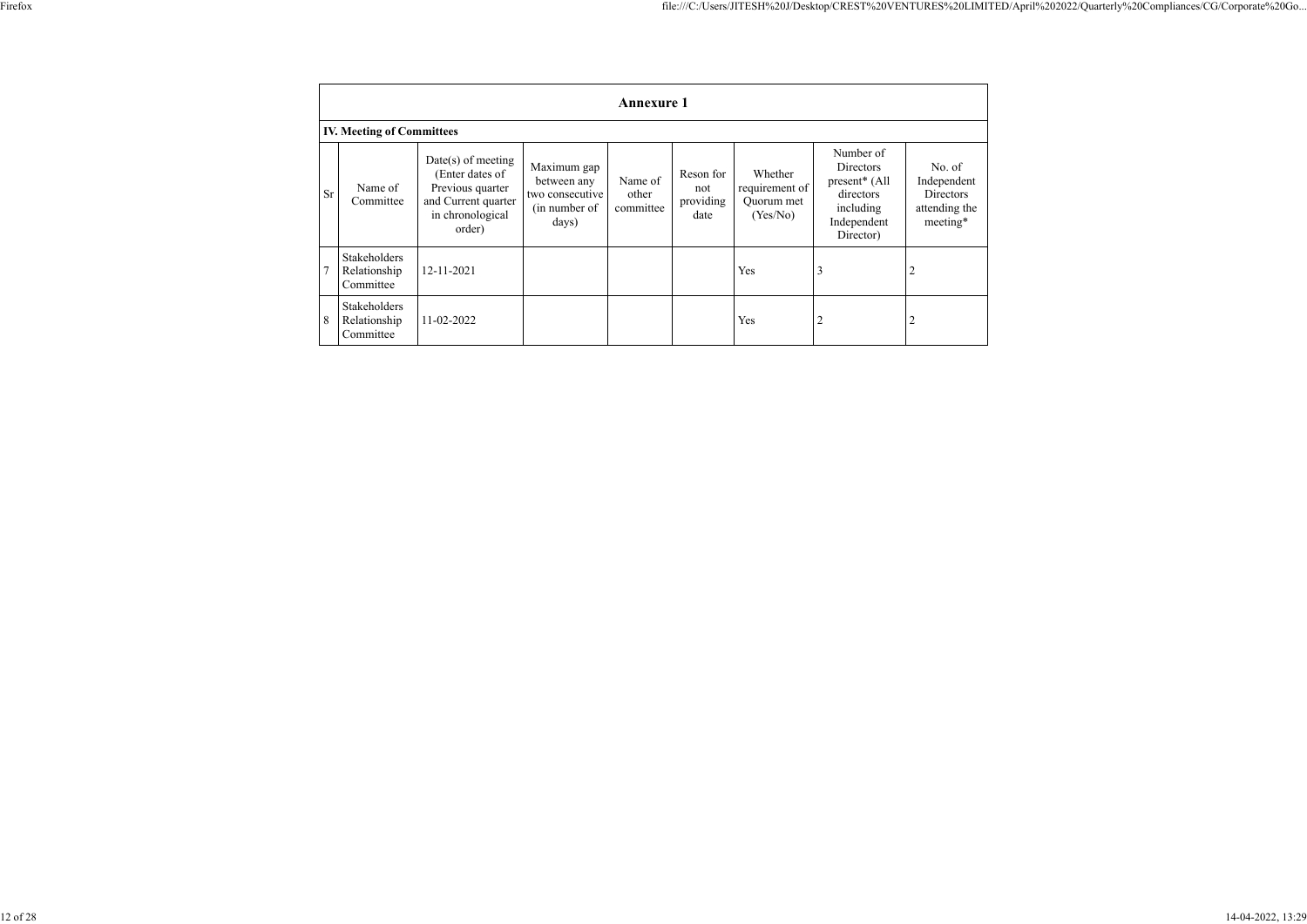|              | <b>Annexure 1</b>                         |                                                                                                                  |                                                                         |                               |                                       |                                                     |                                                                                                                  |                                                                        |
|--------------|-------------------------------------------|------------------------------------------------------------------------------------------------------------------|-------------------------------------------------------------------------|-------------------------------|---------------------------------------|-----------------------------------------------------|------------------------------------------------------------------------------------------------------------------|------------------------------------------------------------------------|
|              | <b>IV. Meeting of Committees</b>          |                                                                                                                  |                                                                         |                               |                                       |                                                     |                                                                                                                  |                                                                        |
| <b>Sr</b>    | Name of<br>Committee                      | $Date(s)$ of meeting<br>(Enter dates of<br>Previous quarter<br>and Current quarter<br>in chronological<br>order) | Maximum gap<br>between any<br>two consecutive<br>(in number of<br>days) | Name of<br>other<br>committee | Reson for<br>not<br>providing<br>date | Whether<br>requirement of<br>Quorum met<br>(Yes/No) | Number of<br><b>Directors</b><br>present <sup>*</sup> (All<br>directors<br>including<br>Independent<br>Director) | No. of<br>Independent<br><b>Directors</b><br>attending the<br>meeting* |
| $\mathbf{7}$ | Stakeholders<br>Relationship<br>Committee | 12-11-2021                                                                                                       |                                                                         |                               |                                       | Yes                                                 | 3                                                                                                                | $\overline{c}$                                                         |
| 8            | Stakeholders<br>Relationship<br>Committee | 11-02-2022                                                                                                       |                                                                         |                               |                                       | Yes                                                 | $\overline{2}$                                                                                                   | ∠                                                                      |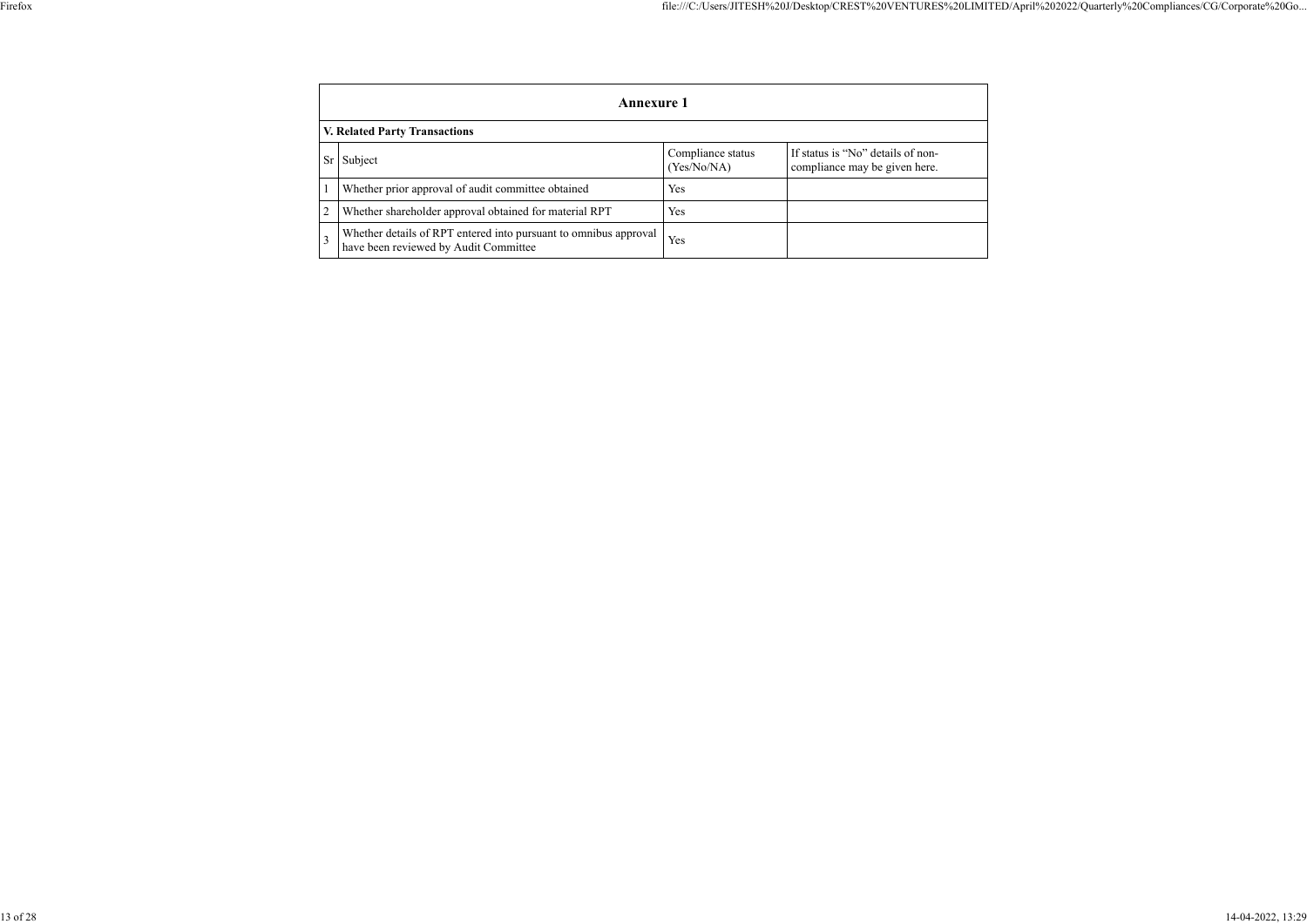|  | r iretox |
|--|----------|
|--|----------|

|                | <b>Annexure 1</b>                                                                                         |                                  |                                                                    |  |  |  |
|----------------|-----------------------------------------------------------------------------------------------------------|----------------------------------|--------------------------------------------------------------------|--|--|--|
|                | <b>V. Related Party Transactions</b>                                                                      |                                  |                                                                    |  |  |  |
| Sr             | Subject                                                                                                   | Compliance status<br>(Yes/No/NA) | If status is "No" details of non-<br>compliance may be given here. |  |  |  |
|                | Whether prior approval of audit committee obtained                                                        | <b>Yes</b>                       |                                                                    |  |  |  |
| $\overline{2}$ | Whether shareholder approval obtained for material RPT                                                    | Yes                              |                                                                    |  |  |  |
|                | Whether details of RPT entered into pursuant to omnibus approval<br>have been reviewed by Audit Committee | Yes                              |                                                                    |  |  |  |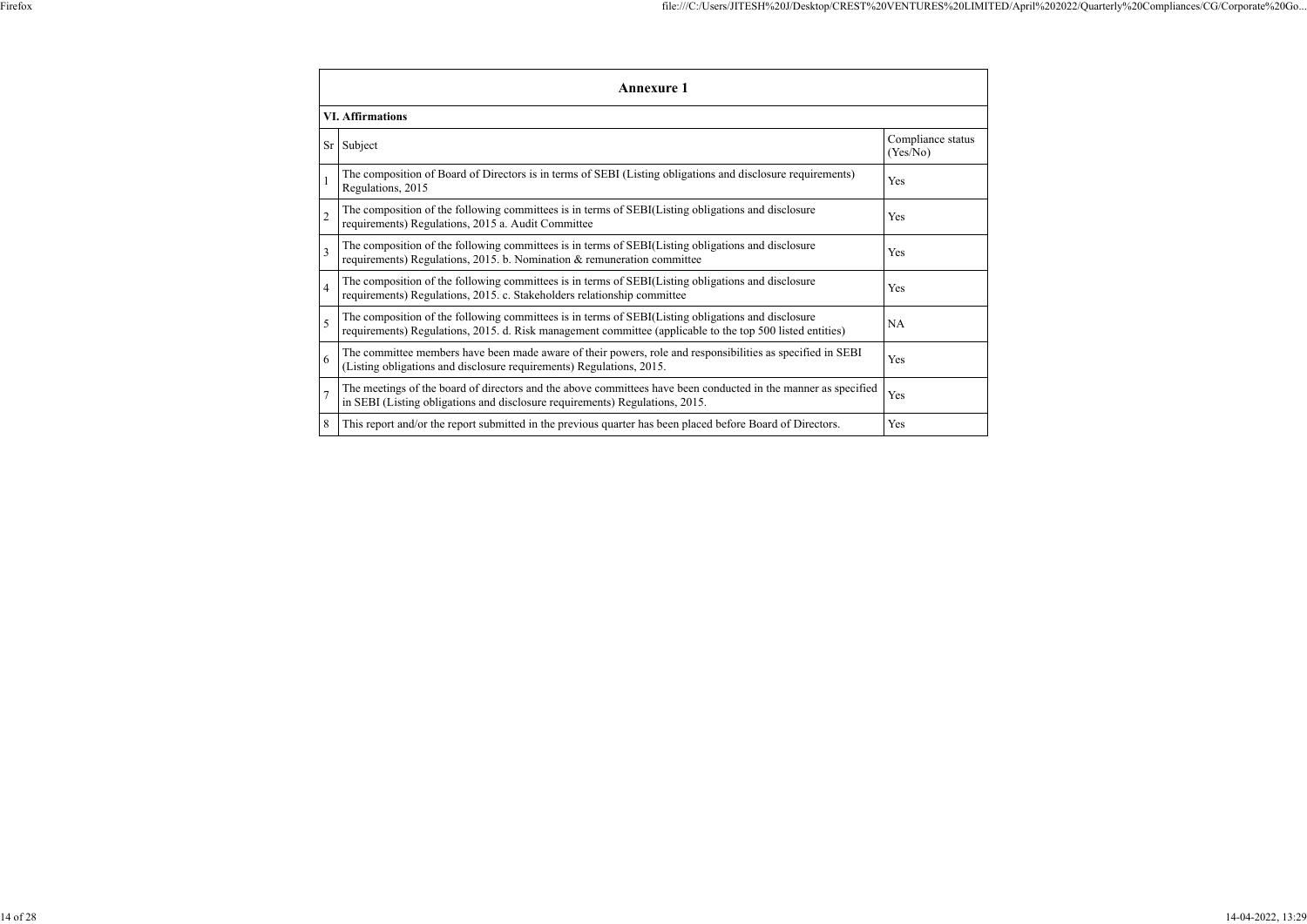|   | <b>Annexure 1</b>                                                                                                                                                                                               |                               |  |  |  |
|---|-----------------------------------------------------------------------------------------------------------------------------------------------------------------------------------------------------------------|-------------------------------|--|--|--|
|   | <b>VI. Affirmations</b>                                                                                                                                                                                         |                               |  |  |  |
|   | Sr Subject                                                                                                                                                                                                      | Compliance status<br>(Yes/No) |  |  |  |
|   | The composition of Board of Directors is in terms of SEBI (Listing obligations and disclosure requirements)<br>Regulations, 2015                                                                                | Yes                           |  |  |  |
|   | The composition of the following committees is in terms of SEBI(Listing obligations and disclosure<br>requirements) Regulations, 2015 a. Audit Committee                                                        | Yes                           |  |  |  |
| 3 | The composition of the following committees is in terms of SEBI(Listing obligations and disclosure<br>requirements) Regulations, 2015. b. Nomination & remuneration committee                                   | Yes                           |  |  |  |
| 4 | The composition of the following committees is in terms of SEBI(Listing obligations and disclosure<br>requirements) Regulations, 2015. c. Stakeholders relationship committee                                   | Yes                           |  |  |  |
|   | The composition of the following committees is in terms of SEBI(Listing obligations and disclosure<br>requirements) Regulations, 2015. d. Risk management committee (applicable to the top 500 listed entities) | NA                            |  |  |  |
| 6 | The committee members have been made aware of their powers, role and responsibilities as specified in SEBI<br>(Listing obligations and disclosure requirements) Regulations, 2015.                              | Yes                           |  |  |  |
|   | The meetings of the board of directors and the above committees have been conducted in the manner as specified<br>in SEBI (Listing obligations and disclosure requirements) Regulations, 2015.                  | Yes                           |  |  |  |
| 8 | This report and/or the report submitted in the previous quarter has been placed before Board of Directors.                                                                                                      | Yes                           |  |  |  |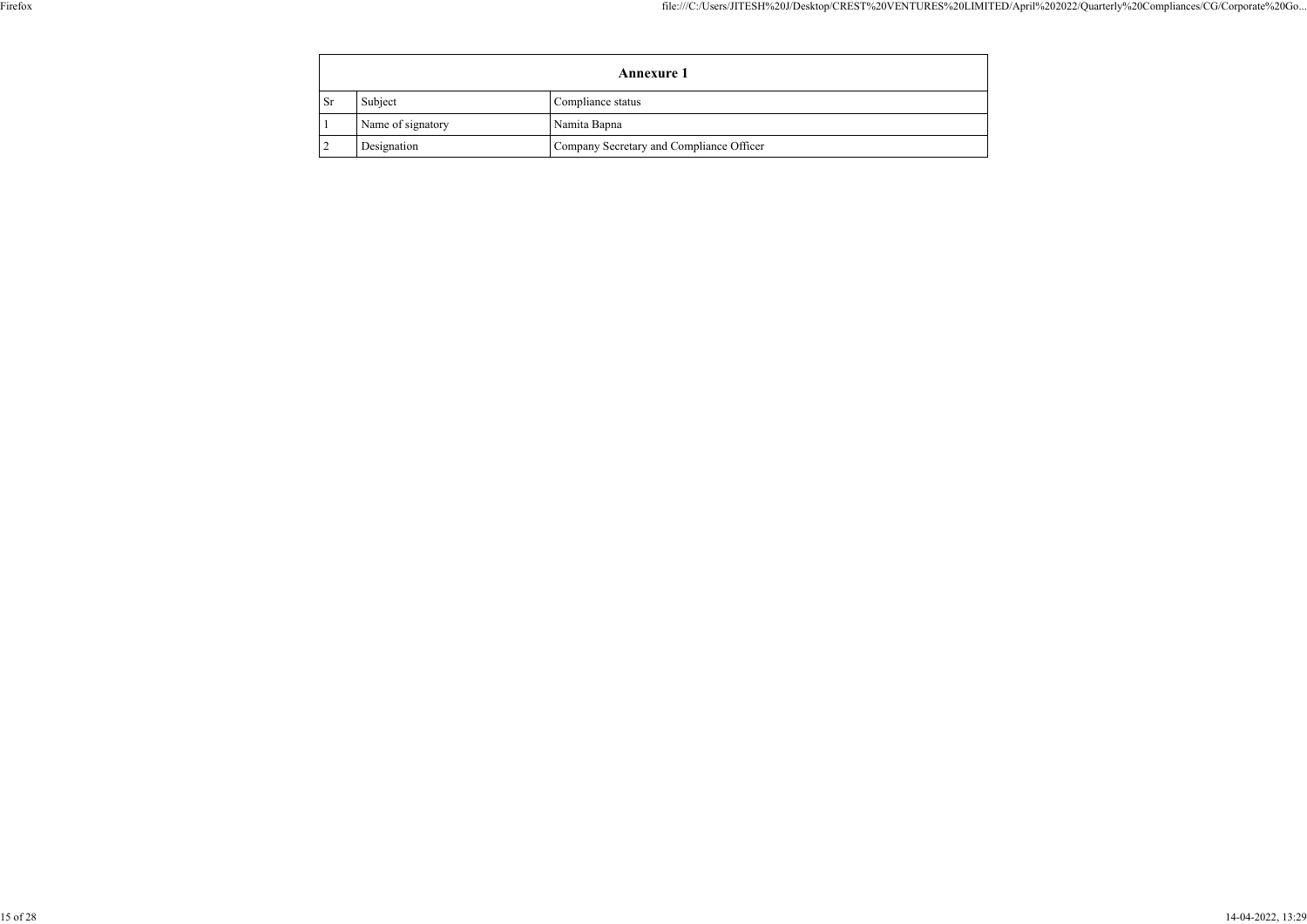|           | <b>Annexure 1</b> |                                          |  |  |  |
|-----------|-------------------|------------------------------------------|--|--|--|
| <b>Sr</b> | Subject           | Compliance status                        |  |  |  |
|           | Name of signatory | Namita Bapna                             |  |  |  |
|           | Designation       | Company Secretary and Compliance Officer |  |  |  |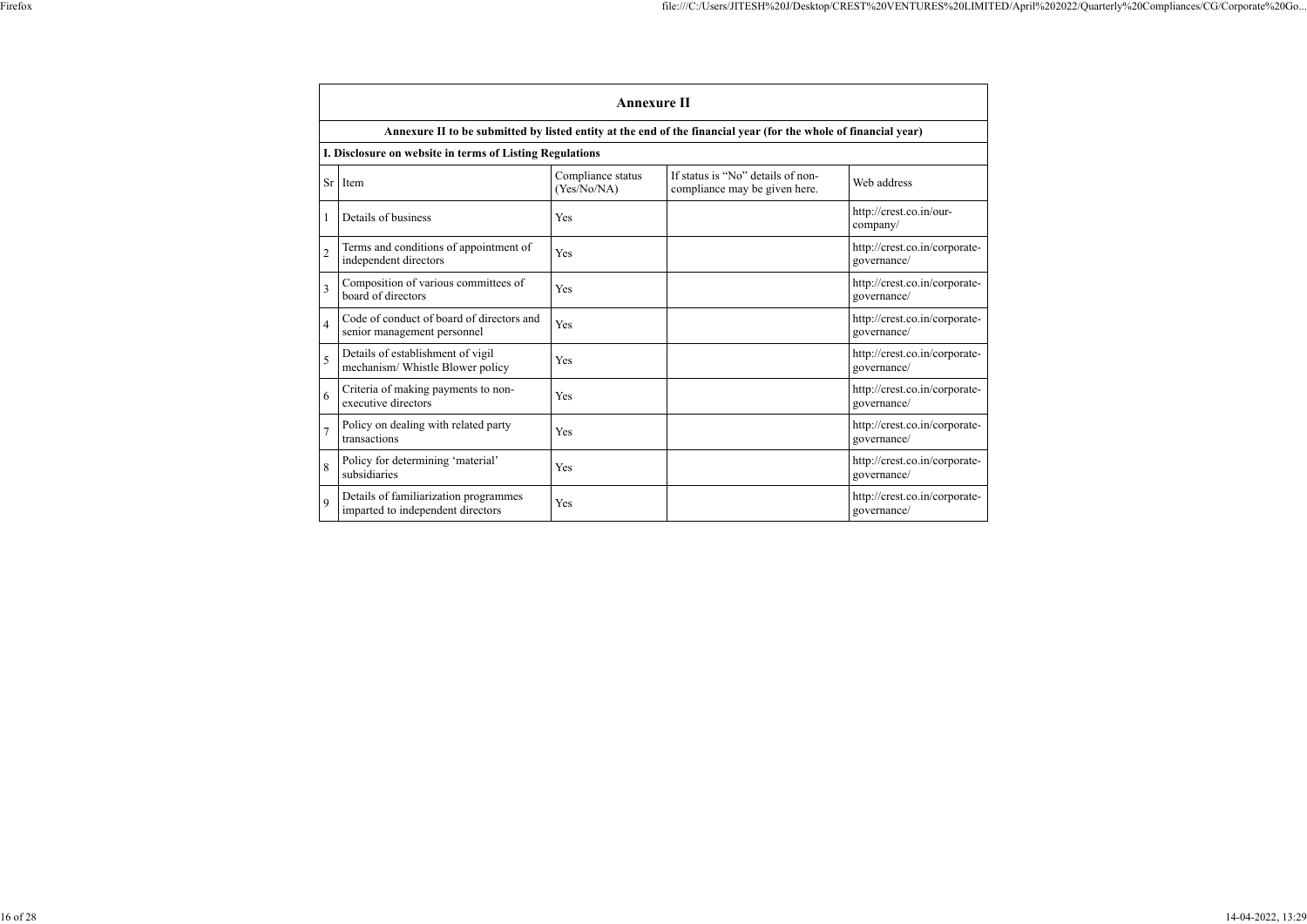|                | <b>Annexure II</b>                                                         |                                  |                                                                                                                 |                                              |
|----------------|----------------------------------------------------------------------------|----------------------------------|-----------------------------------------------------------------------------------------------------------------|----------------------------------------------|
|                |                                                                            |                                  | Annexure II to be submitted by listed entity at the end of the financial year (for the whole of financial year) |                                              |
|                | I. Disclosure on website in terms of Listing Regulations                   |                                  |                                                                                                                 |                                              |
| <b>Sr</b>      | Item                                                                       | Compliance status<br>(Yes/No/NA) | If status is "No" details of non-<br>compliance may be given here.                                              | Web address                                  |
|                | Details of business                                                        | Yes                              |                                                                                                                 | http://crest.co.in/our-<br>company/          |
| $\overline{2}$ | Terms and conditions of appointment of<br>independent directors            | Yes                              |                                                                                                                 | http://crest.co.in/corporate-<br>governance/ |
| 3              | Composition of various committees of<br>board of directors                 | Yes                              |                                                                                                                 | http://crest.co.in/corporate-<br>governance/ |
| $\overline{4}$ | Code of conduct of board of directors and<br>senior management personnel   | Yes                              |                                                                                                                 | http://crest.co.in/corporate-<br>governance/ |
| 5              | Details of establishment of vigil<br>mechanism/ Whistle Blower policy      | Yes                              |                                                                                                                 | http://crest.co.in/corporate-<br>governance/ |
| 6              | Criteria of making payments to non-<br>executive directors                 | Yes                              |                                                                                                                 | http://crest.co.in/corporate-<br>governance/ |
| $\overline{7}$ | Policy on dealing with related party<br>transactions                       | Yes                              |                                                                                                                 | http://crest.co.in/corporate-<br>governance/ |
| 8              | Policy for determining 'material'<br>subsidiaries                          | Yes                              |                                                                                                                 | http://crest.co.in/corporate-<br>governance/ |
| 9              | Details of familiarization programmes<br>imparted to independent directors | Yes                              |                                                                                                                 | http://crest.co.in/corporate-<br>governance/ |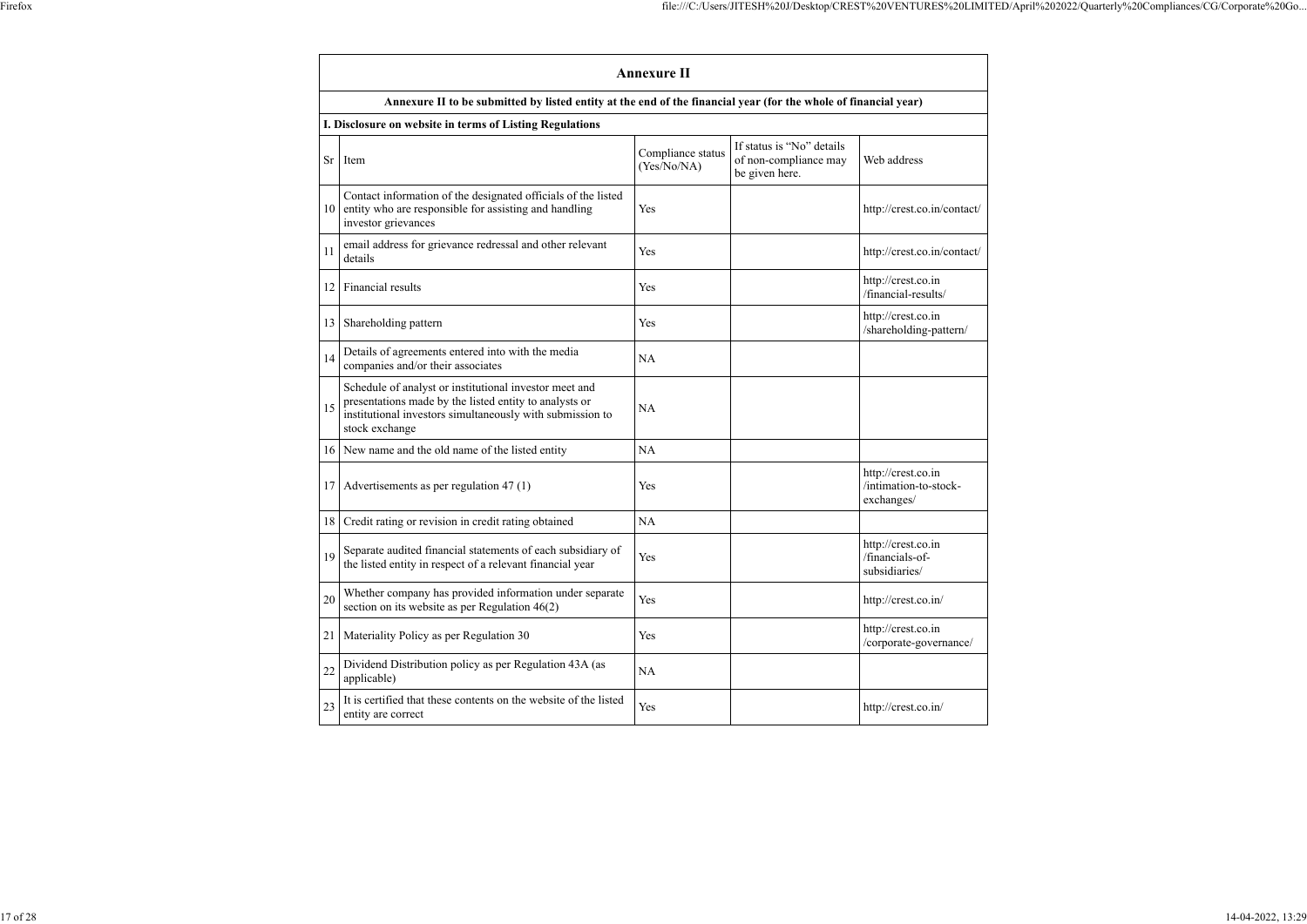|      |                                                                                                                                                                                                 | <b>Annexure II</b>               |                                                                      |                                                           |
|------|-------------------------------------------------------------------------------------------------------------------------------------------------------------------------------------------------|----------------------------------|----------------------------------------------------------------------|-----------------------------------------------------------|
|      | Annexure II to be submitted by listed entity at the end of the financial year (for the whole of financial year)                                                                                 |                                  |                                                                      |                                                           |
|      | I. Disclosure on website in terms of Listing Regulations                                                                                                                                        |                                  |                                                                      |                                                           |
| Sr   | Item                                                                                                                                                                                            | Compliance status<br>(Yes/No/NA) | If status is "No" details<br>of non-compliance may<br>be given here. | Web address                                               |
| 10   | Contact information of the designated officials of the listed<br>entity who are responsible for assisting and handling<br>investor grievances                                                   | Yes                              |                                                                      | http://crest.co.in/contact/                               |
| 11   | email address for grievance redressal and other relevant<br>details                                                                                                                             | Yes                              |                                                                      | http://crest.co.in/contact/                               |
| 12   | Financial results                                                                                                                                                                               | Yes                              |                                                                      | http://crest.co.in<br>/financial-results/                 |
| 13   | Shareholding pattern                                                                                                                                                                            | Yes                              |                                                                      | http://crest.co.in<br>/shareholding-pattern/              |
| 14   | Details of agreements entered into with the media<br>companies and/or their associates                                                                                                          | <b>NA</b>                        |                                                                      |                                                           |
| 15   | Schedule of analyst or institutional investor meet and<br>presentations made by the listed entity to analysts or<br>institutional investors simultaneously with submission to<br>stock exchange | <b>NA</b>                        |                                                                      |                                                           |
| 16 I | New name and the old name of the listed entity                                                                                                                                                  | <b>NA</b>                        |                                                                      |                                                           |
| 17   | Advertisements as per regulation 47 (1)                                                                                                                                                         | Yes                              |                                                                      | http://crest.co.in<br>/intimation-to-stock-<br>exchanges/ |
| 18   | Credit rating or revision in credit rating obtained                                                                                                                                             | <b>NA</b>                        |                                                                      |                                                           |
| 19   | Separate audited financial statements of each subsidiary of<br>the listed entity in respect of a relevant financial year                                                                        | Yes                              |                                                                      | http://crest.co.in<br>/financials-of-<br>subsidiaries/    |
| 20   | Whether company has provided information under separate<br>section on its website as per Regulation 46(2)                                                                                       | Yes                              |                                                                      | http://crest.co.in/                                       |
| 21   | Materiality Policy as per Regulation 30                                                                                                                                                         | Yes                              |                                                                      | http://crest.co.in<br>/corporate-governance/              |
| 22   | Dividend Distribution policy as per Regulation 43A (as<br>applicable)                                                                                                                           | <b>NA</b>                        |                                                                      |                                                           |
| 23   | It is certified that these contents on the website of the listed<br>entity are correct                                                                                                          | Yes                              |                                                                      | http://crest.co.in/                                       |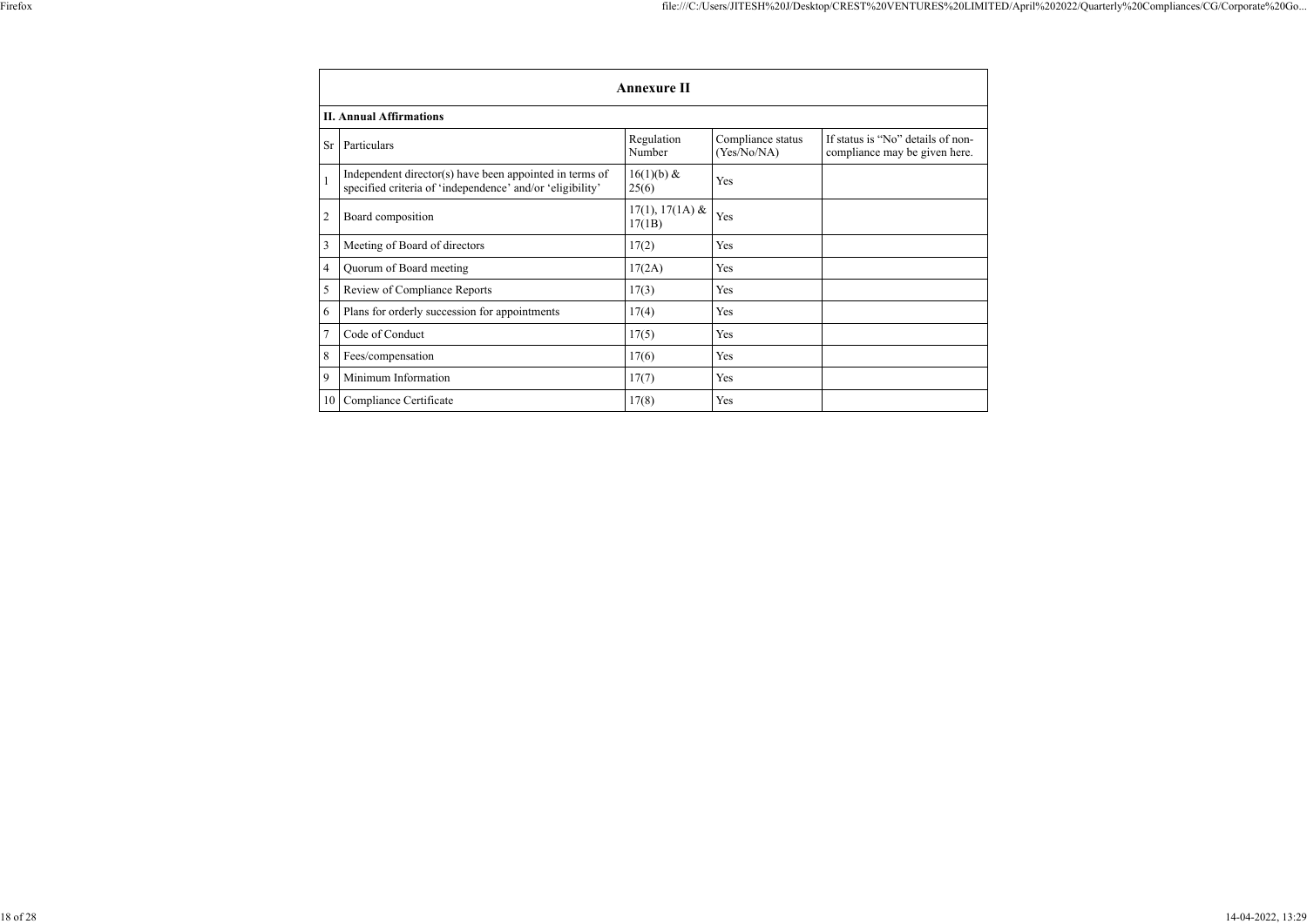|                | <b>Annexure II</b>                                                                                                   |                             |                                  |                                                                    |
|----------------|----------------------------------------------------------------------------------------------------------------------|-----------------------------|----------------------------------|--------------------------------------------------------------------|
|                | <b>II. Annual Affirmations</b>                                                                                       |                             |                                  |                                                                    |
| <b>Sr</b>      | Particulars                                                                                                          | Regulation<br>Number        | Compliance status<br>(Yes/No/NA) | If status is "No" details of non-<br>compliance may be given here. |
|                | Independent director(s) have been appointed in terms of<br>specified criteria of 'independence' and/or 'eligibility' | $16(1)(b)$ &<br>25(6)       | Yes                              |                                                                    |
| $\overline{2}$ | Board composition                                                                                                    | $17(1), 17(1A)$ &<br>17(1B) | Yes                              |                                                                    |
| 3              | Meeting of Board of directors                                                                                        | 17(2)                       | Yes                              |                                                                    |
| 4              | Quorum of Board meeting                                                                                              | 17(2A)                      | Yes                              |                                                                    |
| 5              | Review of Compliance Reports                                                                                         | 17(3)                       | Yes                              |                                                                    |
| 6              | Plans for orderly succession for appointments                                                                        | 17(4)                       | Yes                              |                                                                    |
| $\overline{7}$ | Code of Conduct                                                                                                      | 17(5)                       | Yes                              |                                                                    |
| 8              | Fees/compensation                                                                                                    | 17(6)                       | Yes                              |                                                                    |
| 9              | Minimum Information                                                                                                  | 17(7)                       | Yes                              |                                                                    |
| 10             | Compliance Certificate                                                                                               | 17(8)                       | Yes                              |                                                                    |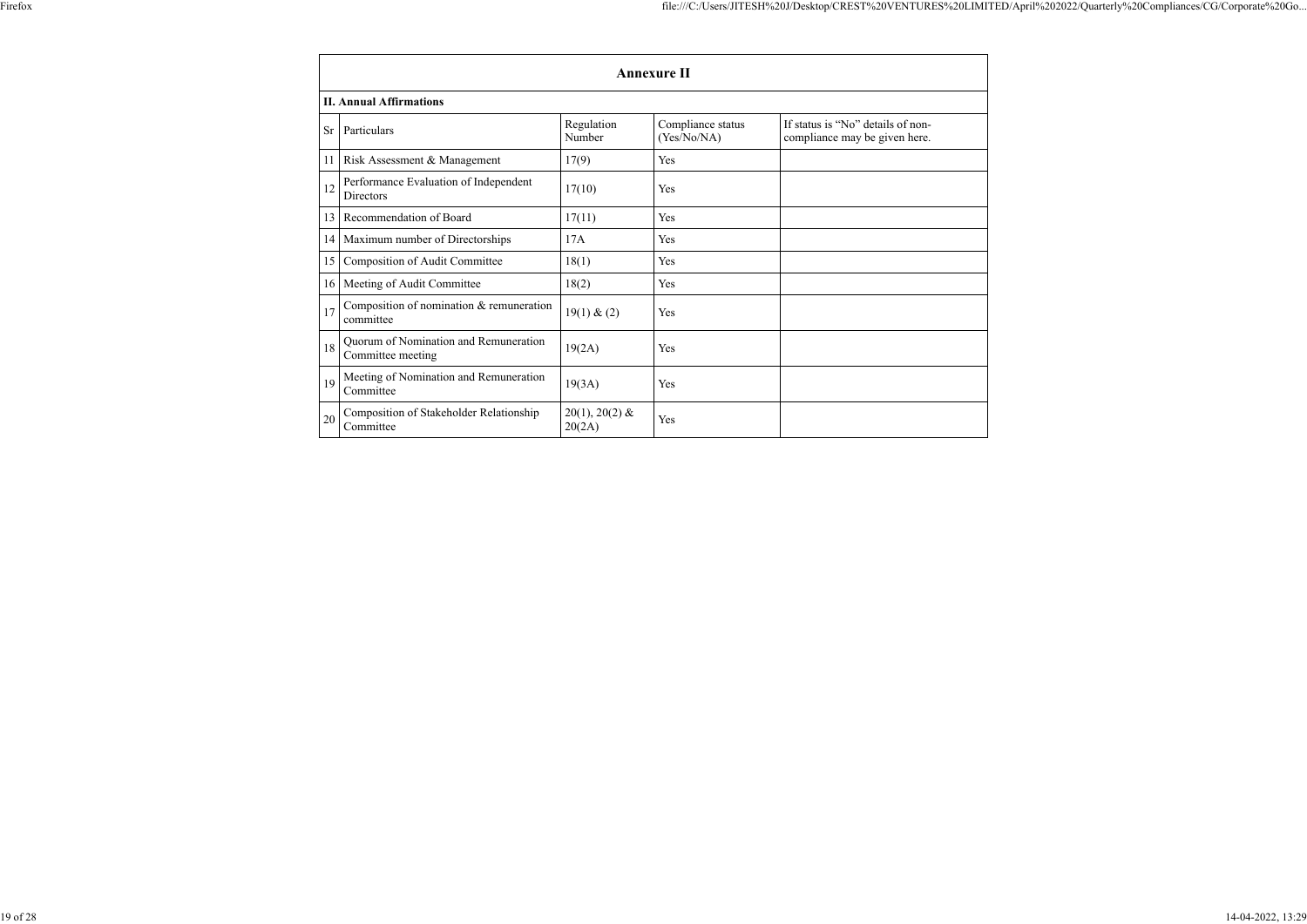|           | <b>Annexure II</b>                                         |                            |                                  |                                                                    |
|-----------|------------------------------------------------------------|----------------------------|----------------------------------|--------------------------------------------------------------------|
|           | <b>II. Annual Affirmations</b>                             |                            |                                  |                                                                    |
| <b>Sr</b> | Particulars                                                | Regulation<br>Number       | Compliance status<br>(Yes/No/NA) | If status is "No" details of non-<br>compliance may be given here. |
| 11        | Risk Assessment & Management                               | 17(9)                      | Yes                              |                                                                    |
| 12        | Performance Evaluation of Independent<br><b>Directors</b>  | 17(10)                     | Yes                              |                                                                    |
| 13        | Recommendation of Board                                    | 17(11)                     | Yes                              |                                                                    |
|           | 14   Maximum number of Directorships                       | 17A                        | Yes                              |                                                                    |
| 15        | Composition of Audit Committee                             | 18(1)                      | Yes                              |                                                                    |
|           | 16   Meeting of Audit Committee                            | 18(2)                      | Yes                              |                                                                    |
| 17        | Composition of nomination & remuneration<br>committee      | 19(1) & (2)                | Yes                              |                                                                    |
| 18        | Quorum of Nomination and Remuneration<br>Committee meeting | 19(2A)                     | Yes                              |                                                                    |
| 19        | Meeting of Nomination and Remuneration<br>Committee        | 19(3A)                     | Yes                              |                                                                    |
| 20        | Composition of Stakeholder Relationship<br>Committee       | $20(1), 20(2)$ &<br>20(2A) | Yes                              |                                                                    |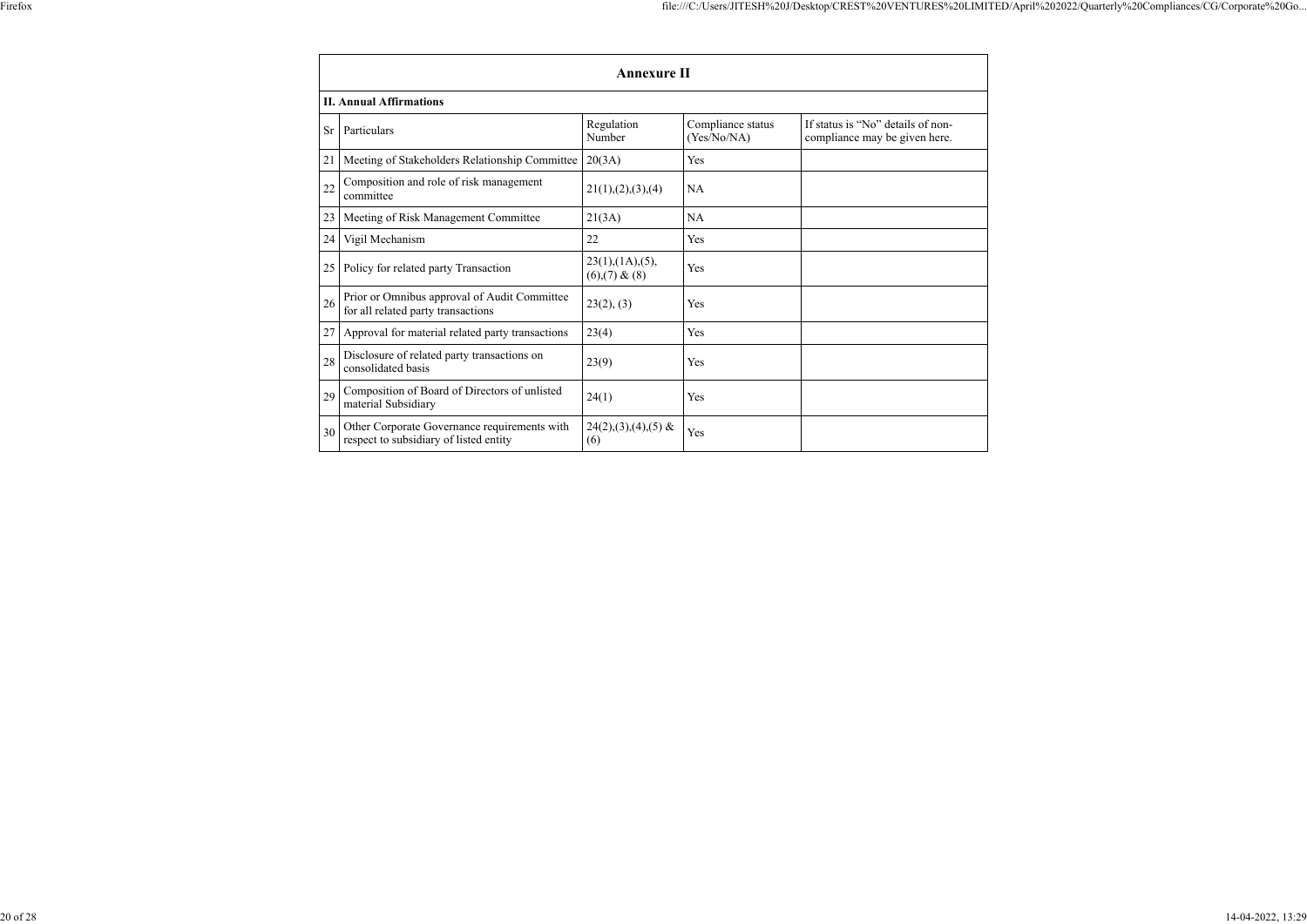$\overline{\phantom{0}}$ 

|           | <b>Annexure II</b>                                                                     |                                     |                                  |                                                                    |
|-----------|----------------------------------------------------------------------------------------|-------------------------------------|----------------------------------|--------------------------------------------------------------------|
|           | <b>II. Annual Affirmations</b>                                                         |                                     |                                  |                                                                    |
| <b>Sr</b> | Particulars                                                                            | Regulation<br>Number                | Compliance status<br>(Yes/No/NA) | If status is "No" details of non-<br>compliance may be given here. |
| 21        | Meeting of Stakeholders Relationship Committee                                         | 20(3A)                              | Yes                              |                                                                    |
| 22        | Composition and role of risk management<br>committee                                   | 21(1), (2), (3), (4)                | <b>NA</b>                        |                                                                    |
| 23        | Meeting of Risk Management Committee                                                   | 21(3A)                              | <b>NA</b>                        |                                                                    |
| 24        | Vigil Mechanism                                                                        | 22                                  | Yes                              |                                                                    |
| 25        | Policy for related party Transaction                                                   | 23(1),(1A),(5),<br>$(6)(7)$ & $(8)$ | Yes                              |                                                                    |
| 26        | Prior or Omnibus approval of Audit Committee<br>for all related party transactions     | 23(2), (3)                          | Yes                              |                                                                    |
| 27        | Approval for material related party transactions                                       | 23(4)                               | Yes                              |                                                                    |
| 28        | Disclosure of related party transactions on<br>consolidated basis                      | 23(9)                               | Yes                              |                                                                    |
| 29        | Composition of Board of Directors of unlisted<br>material Subsidiary                   | 24(1)                               | Yes                              |                                                                    |
| 30        | Other Corporate Governance requirements with<br>respect to subsidiary of listed entity | $24(2), (3), (4), (5)$ &<br>(6)     | Yes                              |                                                                    |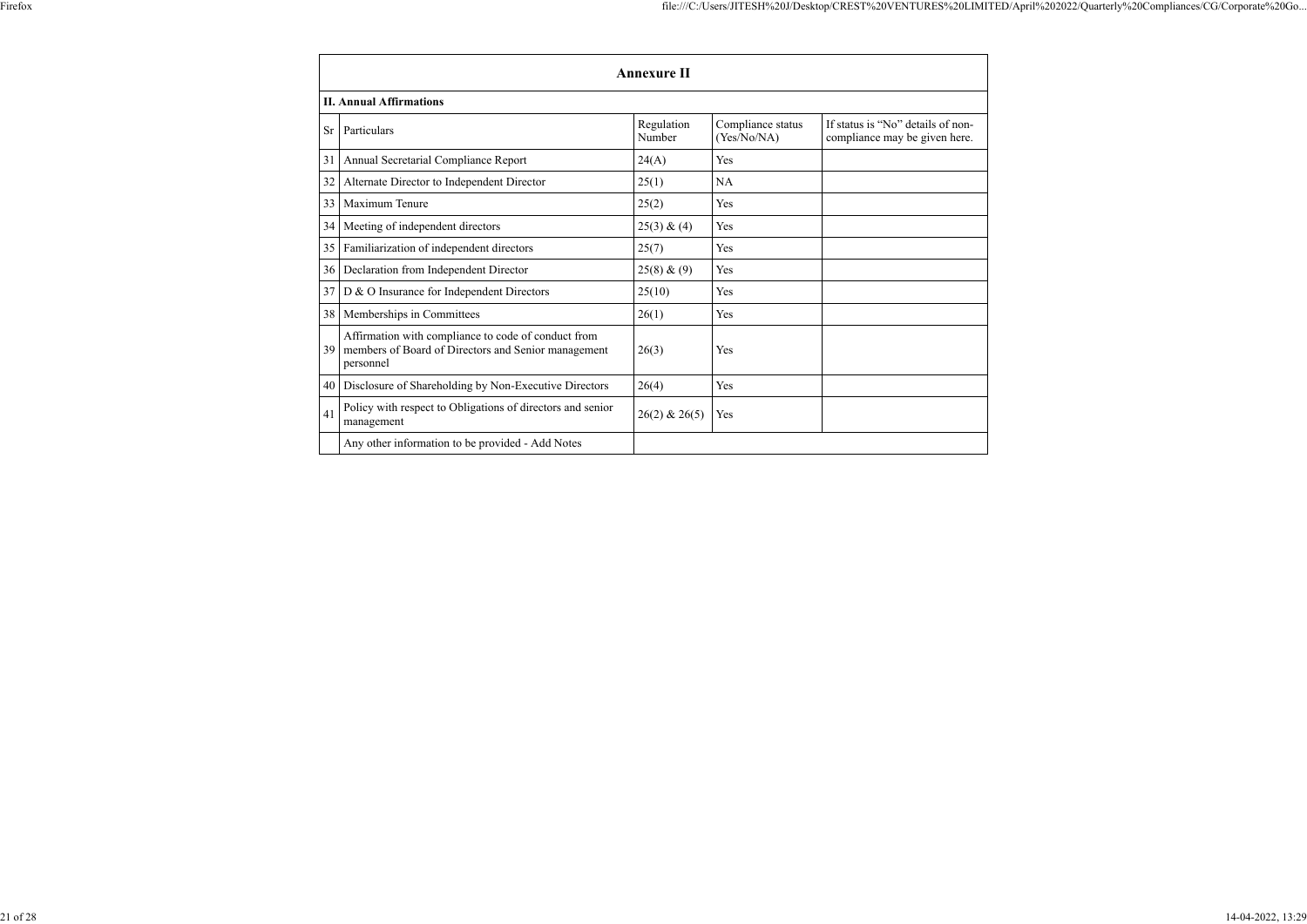$\overline{\phantom{0}}$ 

ा

|           | <b>Annexure II</b>                                                                                                      |                      |                                  |                                                                    |  |
|-----------|-------------------------------------------------------------------------------------------------------------------------|----------------------|----------------------------------|--------------------------------------------------------------------|--|
|           | <b>II. Annual Affirmations</b>                                                                                          |                      |                                  |                                                                    |  |
| <b>Sr</b> | Particulars                                                                                                             | Regulation<br>Number | Compliance status<br>(Yes/No/NA) | If status is "No" details of non-<br>compliance may be given here. |  |
| 31        | Annual Secretarial Compliance Report                                                                                    | 24(A)                | Yes                              |                                                                    |  |
| 32        | Alternate Director to Independent Director                                                                              | 25(1)                | NA                               |                                                                    |  |
| 33        | Maximum Tenure                                                                                                          | 25(2)                | Yes                              |                                                                    |  |
| 34        | Meeting of independent directors                                                                                        | 25(3) & (4)          | Yes                              |                                                                    |  |
| 35        | Familiarization of independent directors                                                                                | 25(7)                | Yes                              |                                                                    |  |
| 36        | Declaration from Independent Director                                                                                   | 25(8) & (9)          | Yes                              |                                                                    |  |
| 37        | D & O Insurance for Independent Directors                                                                               | 25(10)               | Yes                              |                                                                    |  |
| 38        | Memberships in Committees                                                                                               | 26(1)                | Yes                              |                                                                    |  |
| 39        | Affirmation with compliance to code of conduct from<br>members of Board of Directors and Senior management<br>personnel | 26(3)                | Yes                              |                                                                    |  |
| 40        | Disclosure of Shareholding by Non-Executive Directors                                                                   | 26(4)                | Yes                              |                                                                    |  |
| 41        | Policy with respect to Obligations of directors and senior<br>management                                                | $26(2)$ & $26(5)$    | Yes                              |                                                                    |  |
|           | Any other information to be provided - Add Notes                                                                        |                      |                                  |                                                                    |  |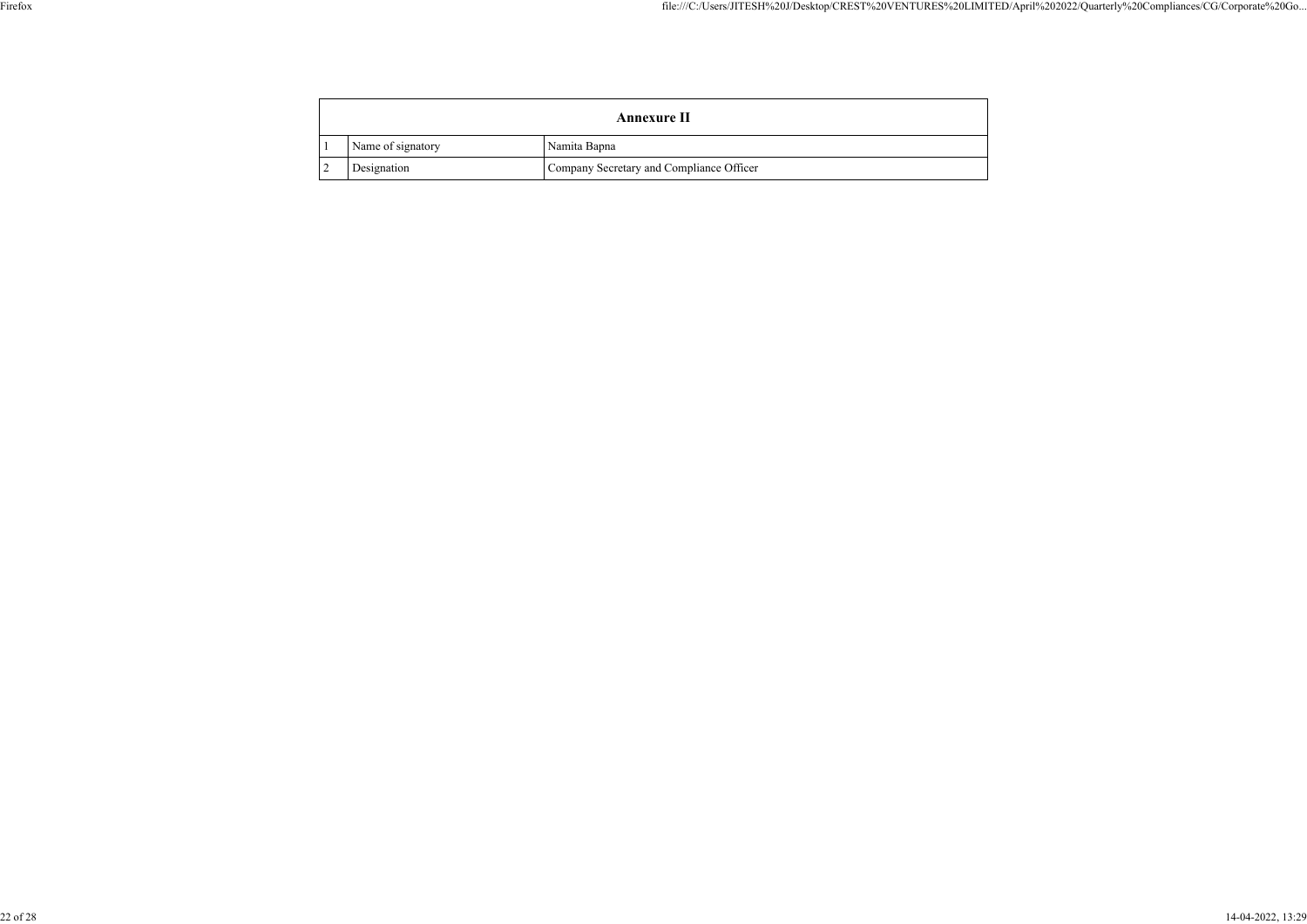|                                                         |                   | <b>Annexure II</b> |              |
|---------------------------------------------------------|-------------------|--------------------|--------------|
|                                                         | Name of signatory |                    | Namita Bapna |
| Company Secretary and Compliance Officer<br>Designation |                   |                    |              |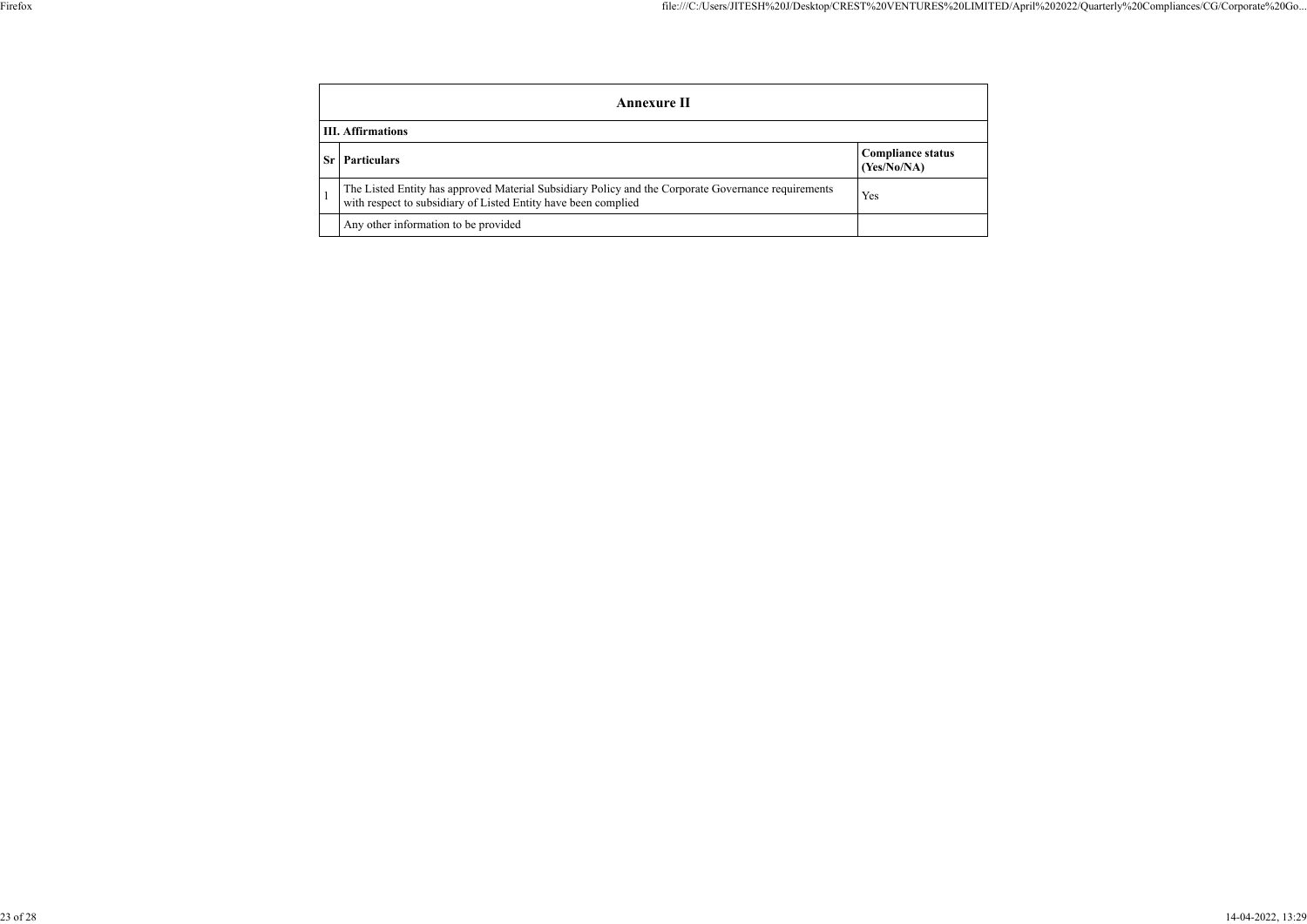| ., |  |
|----|--|
|    |  |
|    |  |

|                          | <b>Annexure II</b>                                                                                                                                                    |                                         |  |
|--------------------------|-----------------------------------------------------------------------------------------------------------------------------------------------------------------------|-----------------------------------------|--|
| <b>III.</b> Affirmations |                                                                                                                                                                       |                                         |  |
|                          | <b>Particulars</b>                                                                                                                                                    | <b>Compliance status</b><br>(Yes/No/NA) |  |
|                          | The Listed Entity has approved Material Subsidiary Policy and the Corporate Governance requirements<br>with respect to subsidiary of Listed Entity have been complied | Yes                                     |  |
|                          | Any other information to be provided                                                                                                                                  |                                         |  |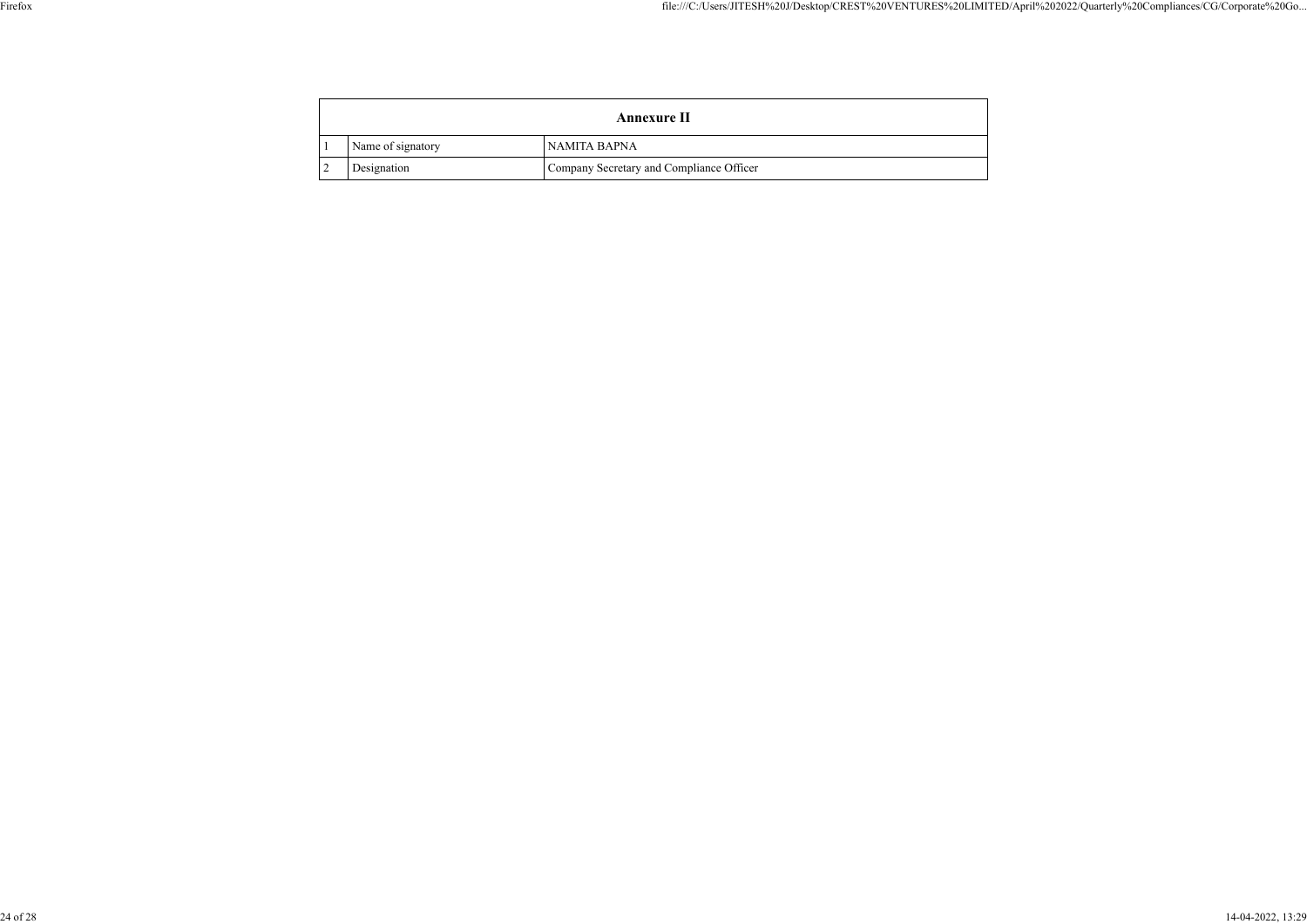|                                                         |                   | <b>Annexure II</b> |              |
|---------------------------------------------------------|-------------------|--------------------|--------------|
|                                                         | Name of signatory |                    | NAMITA BAPNA |
| Designation<br>Company Secretary and Compliance Officer |                   |                    |              |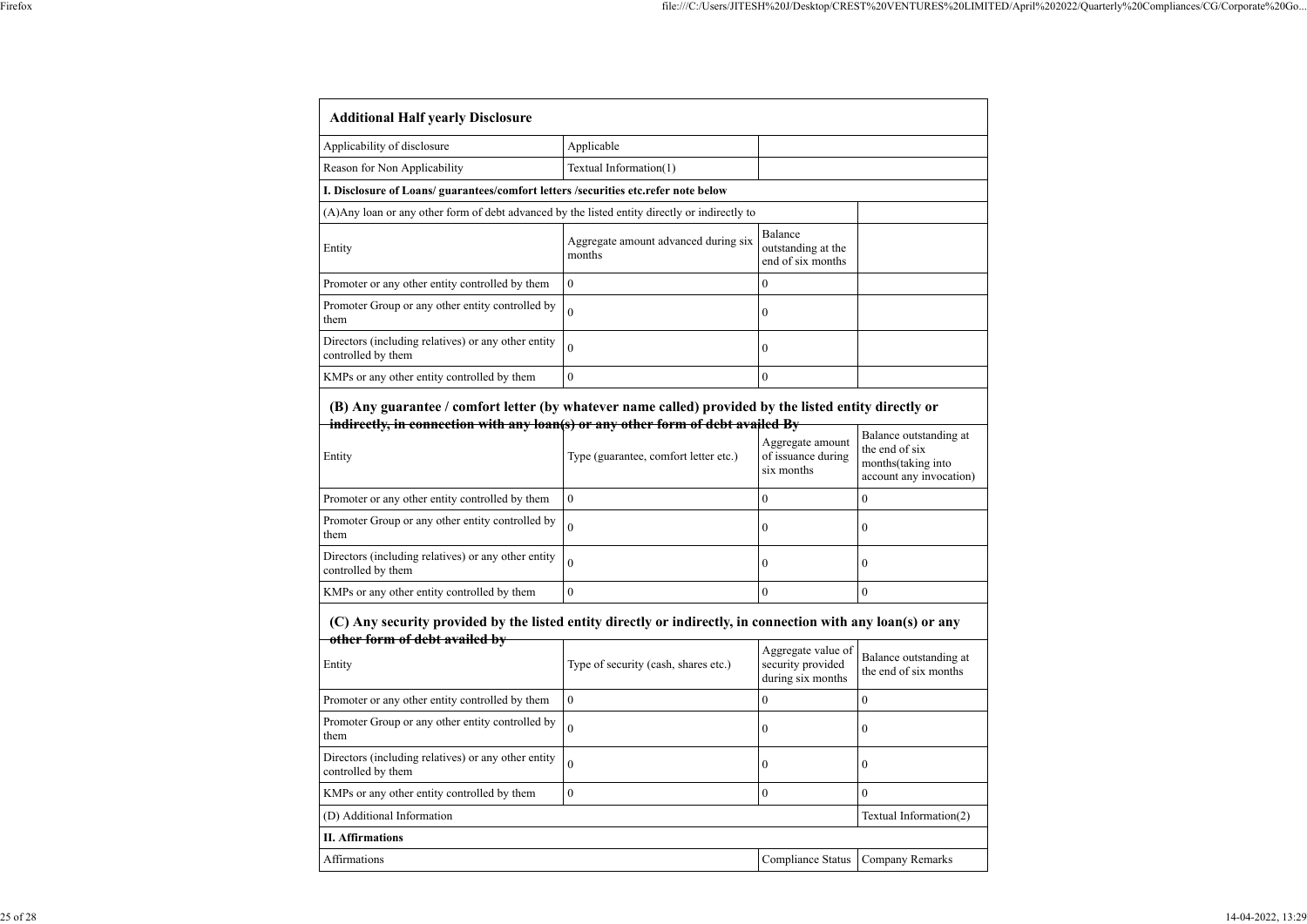| Applicability of disclosure                                                                    | Applicable                                     |                                                    |  |
|------------------------------------------------------------------------------------------------|------------------------------------------------|----------------------------------------------------|--|
| Reason for Non Applicability                                                                   | Textual Information(1)                         |                                                    |  |
| I. Disclosure of Loans/ guarantees/comfort letters /securities etc.refer note below            |                                                |                                                    |  |
| (A) Any loan or any other form of debt advanced by the listed entity directly or indirectly to |                                                |                                                    |  |
| Entity                                                                                         | Aggregate amount advanced during six<br>months | Balance<br>outstanding at the<br>end of six months |  |
| Promoter or any other entity controlled by them                                                | $\theta$                                       | $\theta$                                           |  |
| Promoter Group or any other entity controlled by<br>them                                       |                                                | $\theta$                                           |  |
| Directors (including relatives) or any other entity<br>controlled by them                      |                                                | $\theta$                                           |  |
| KMPs or any other entity controlled by them                                                    | $\theta$                                       | $\theta$                                           |  |

## **(B) Any guarantee / comfort letter (by whatever name called) provided by the listed entity directly or indirectly, in connection with any loan(s) or any other form of debt availed By** Balance outstanding at

| Entity                                                                    | Type (guarantee, comfort letter etc.) | Aggregate amount<br>of issuance during<br>six months | Balance outstanding at<br>the end of six<br>months (taking into<br>account any invocation) |
|---------------------------------------------------------------------------|---------------------------------------|------------------------------------------------------|--------------------------------------------------------------------------------------------|
| Promoter or any other entity controlled by them                           | $\theta$                              |                                                      |                                                                                            |
| Promoter Group or any other entity controlled by<br>them                  | $\Omega$                              |                                                      |                                                                                            |
| Directors (including relatives) or any other entity<br>controlled by them |                                       |                                                      |                                                                                            |
| KMPs or any other entity controlled by them                               | $\theta$                              |                                                      |                                                                                            |

## **(C) Any security provided by the listed entity directly or indirectly, in connection with any loan(s) or any other form of debt availed by**

| <u>Uther for the of</u> acor availed by<br>Entity                         | Type of security (cash, shares etc.) | Aggregate value of<br>security provided<br>during six months | Balance outstanding at<br>the end of six months |
|---------------------------------------------------------------------------|--------------------------------------|--------------------------------------------------------------|-------------------------------------------------|
| Promoter or any other entity controlled by them                           | $\boldsymbol{0}$                     | O                                                            |                                                 |
| Promoter Group or any other entity controlled by<br>them                  | $\overline{0}$                       | $\theta$                                                     | $\theta$                                        |
| Directors (including relatives) or any other entity<br>controlled by them | $\overline{0}$                       | $\boldsymbol{0}$                                             | $\theta$                                        |
| KMPs or any other entity controlled by them                               | $\boldsymbol{0}$                     | $\theta$                                                     |                                                 |
| (D) Additional Information                                                |                                      |                                                              | Textual Information(2)                          |
| <b>II.</b> Affirmations                                                   |                                      |                                                              |                                                 |

| <b>Affirmation</b> | omr<br>status<br>oliance | ∴omnany<br><b>Remarks</b> |
|--------------------|--------------------------|---------------------------|
|                    |                          |                           |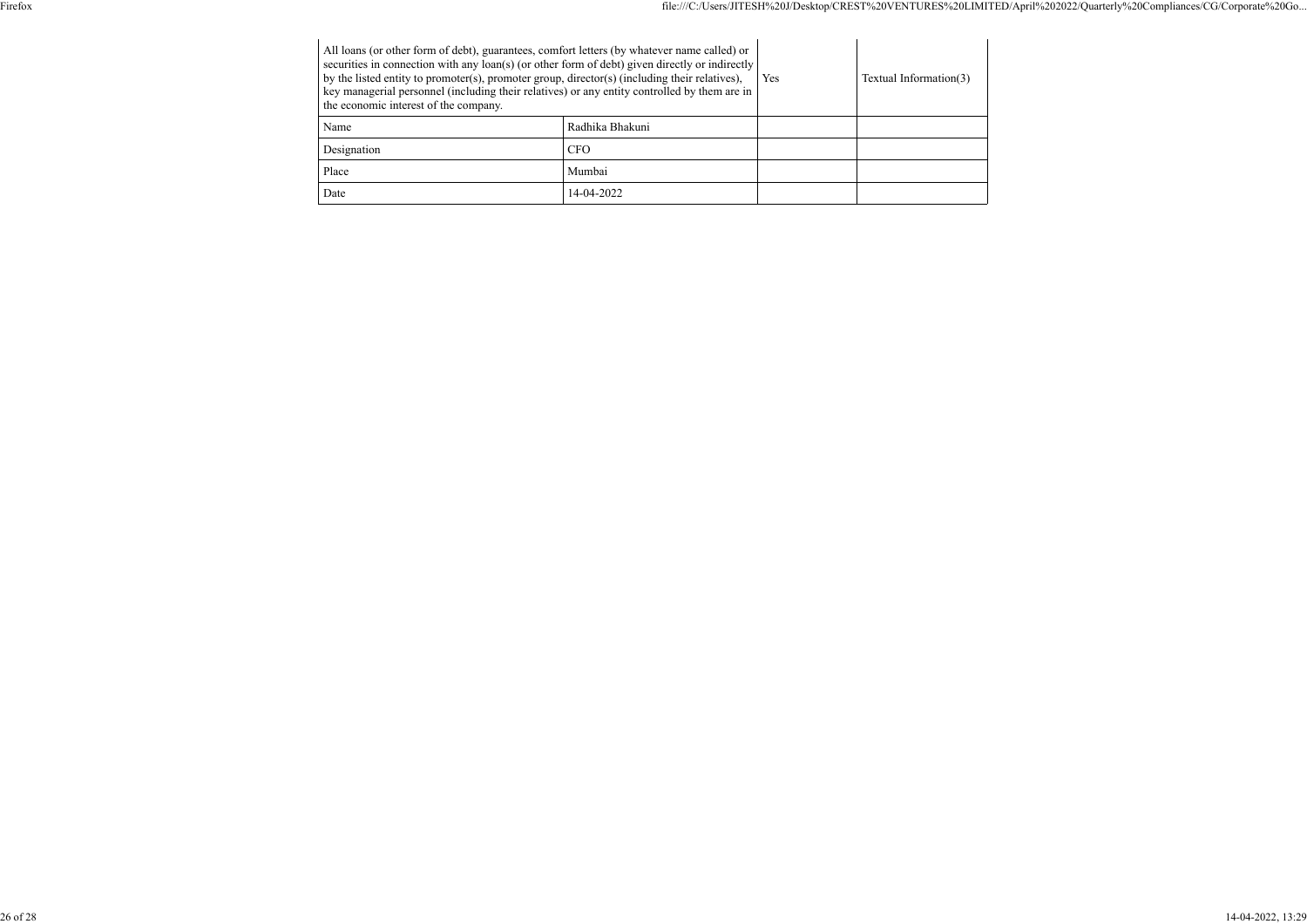| All loans (or other form of debt), guarantees, comfort letters (by whatever name called) or<br>securities in connection with any loan(s) (or other form of debt) given directly or indirectly<br>by the listed entity to promoter(s), promoter group, director(s) (including their relatives),<br>key managerial personnel (including their relatives) or any entity controlled by them are in<br>the economic interest of the company. |                 | Yes | Textual Information(3) |
|-----------------------------------------------------------------------------------------------------------------------------------------------------------------------------------------------------------------------------------------------------------------------------------------------------------------------------------------------------------------------------------------------------------------------------------------|-----------------|-----|------------------------|
| Name                                                                                                                                                                                                                                                                                                                                                                                                                                    | Radhika Bhakuni |     |                        |
| Designation                                                                                                                                                                                                                                                                                                                                                                                                                             | <b>CFO</b>      |     |                        |
| Place                                                                                                                                                                                                                                                                                                                                                                                                                                   | Mumbai          |     |                        |
| Date                                                                                                                                                                                                                                                                                                                                                                                                                                    | 14-04-2022      |     |                        |